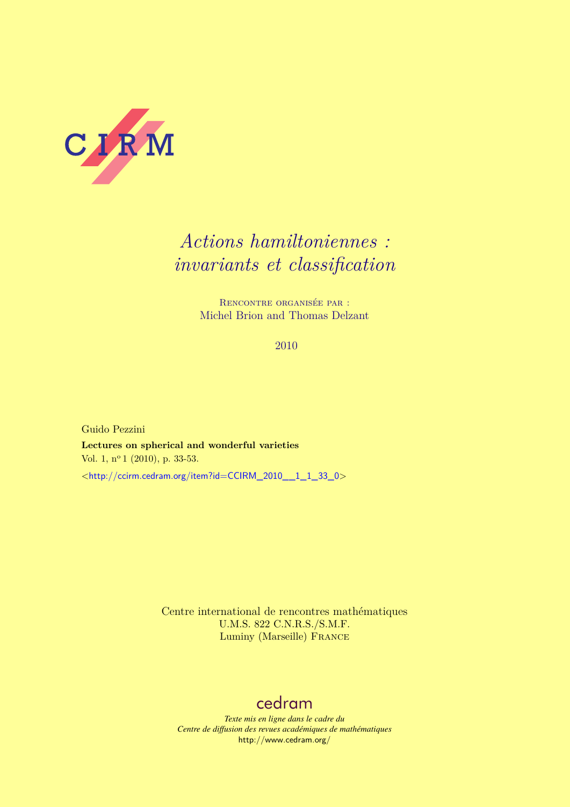

# *Actions hamiltoniennes : invariants et classification*

Rencontre organisée par : Michel Brion and Thomas Delzant

2010

Guido Pezzini **Lectures on spherical and wonderful varieties** Vol. 1, nº 1 (2010), p. 33-53. <[http://ccirm.cedram.org/item?id=CCIRM\\_2010\\_\\_1\\_1\\_33\\_0](http://ccirm.cedram.org/item?id=CCIRM_2010__1_1_33_0)>

> Centre international de rencontres mathématiques U.M.S. 822 C.N.R.S./S.M.F. Luminy (Marseille) France

# [cedram](http://www.cedram.org/)

*Texte mis en ligne dans le cadre du Centre de diffusion des revues académiques de mathématiques* <http://www.cedram.org/>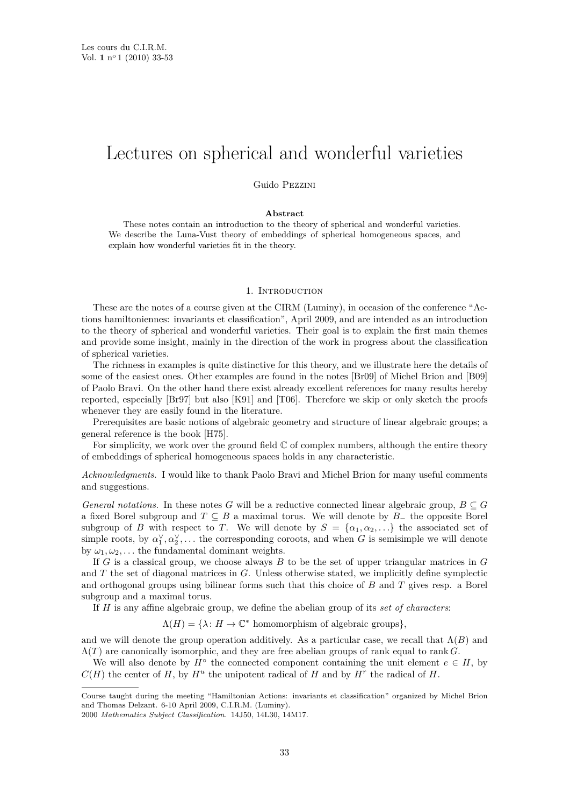# Lectures on spherical and wonderful varieties

Guido Pezzini

# **Abstract**

These notes contain an introduction to the theory of spherical and wonderful varieties. We describe the Luna-Vust theory of embeddings of spherical homogeneous spaces, and explain how wonderful varieties fit in the theory.

# 1. INTRODUCTION

These are the notes of a course given at the CIRM (Luminy), in occasion of the conference "Actions hamiltoniennes: invariants et classification", April 2009, and are intended as an introduction to the theory of spherical and wonderful varieties. Their goal is to explain the first main themes and provide some insight, mainly in the direction of the work in progress about the classification of spherical varieties.

The richness in examples is quite distinctive for this theory, and we illustrate here the details of some of the easiest ones. Other examples are found in the notes [\[Br09\]](#page-21-0) of Michel Brion and [\[B09\]](#page-21-0) of Paolo Bravi. On the other hand there exist already excellent references for many results hereby reported, especially [\[Br97\]](#page-21-0) but also [\[K91\]](#page-21-0) and [\[T06\]](#page-21-0). Therefore we skip or only sketch the proofs whenever they are easily found in the literature.

Prerequisites are basic notions of algebraic geometry and structure of linear algebraic groups; a general reference is the book [\[H75\]](#page-21-0).

For simplicity, we work over the ground field  $\mathbb C$  of complex numbers, although the entire theory of embeddings of spherical homogeneous spaces holds in any characteristic.

*Acknowledgments.* I would like to thank Paolo Bravi and Michel Brion for many useful comments and suggestions.

*General notations.* In these notes *G* will be a reductive connected linear algebraic group,  $B \subseteq G$ a fixed Borel subgroup and *T* ⊆ *B* a maximal torus. We will denote by *B*<sup>−</sup> the opposite Borel subgroup of *B* with respect to *T*. We will denote by  $S = {\alpha_1, \alpha_2, \ldots}$  the associated set of simple roots, by  $\alpha_1^{\vee}, \alpha_2^{\vee}, \ldots$  the corresponding coroots, and when *G* is semisimple we will denote by  $\omega_1, \omega_2, \ldots$  the fundamental dominant weights.

If *G* is a classical group, we choose always *B* to be the set of upper triangular matrices in *G* and *T* the set of diagonal matrices in *G*. Unless otherwise stated, we implicitly define symplectic and orthogonal groups using bilinear forms such that this choice of *B* and *T* gives resp. a Borel subgroup and a maximal torus.

If *H* is any affine algebraic group, we define the abelian group of its *set of characters*:

 $\Lambda(H) = {\lambda : H \to \mathbb{C}^*}$  homomorphism of algebraic groups}

and we will denote the group operation additively. As a particular case, we recall that  $\Lambda(B)$  and Λ(*T*) are canonically isomorphic, and they are free abelian groups of rank equal to rank *G*.

We will also denote by  $H^{\circ}$  the connected component containing the unit element  $e \in H$ , by  $C(H)$  the center of *H*, by  $H^u$  the unipotent radical of *H* and by  $H^r$  the radical of *H*.

Course taught during the meeting "Hamiltonian Actions: invariants et classification" organized by Michel Brion and Thomas Delzant. 6-10 April 2009, C.I.R.M. (Luminy).

<sup>2000</sup> *Mathematics Subject Classification.* 14J50, 14L30, 14M17.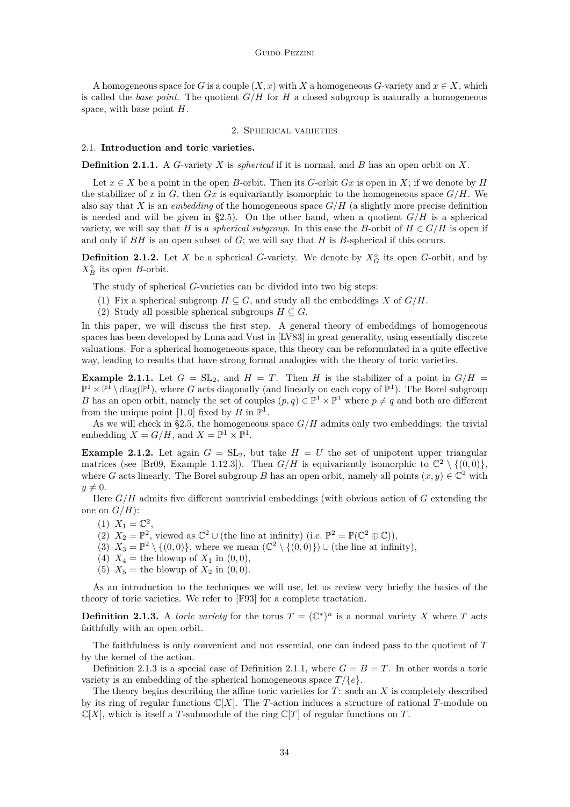<span id="page-2-0"></span>A homogeneous space for *G* is a couple  $(X, x)$  with *X* a homogeneous *G*-variety and  $x \in X$ , which is called the *base point*. The quotient  $G/H$  for  $H$  a closed subgroup is naturally a homogeneous space, with base point *H*.

# 2. Spherical varieties

### 2.1. **Introduction and toric varieties.**

**Definition 2.1.1.** A *G*-variety *X* is *spherical* if it is normal, and *B* has an open orbit on *X*.

Let  $x \in X$  be a point in the open *B*-orbit. Then its *G*-orbit *Gx* is open in *X*; if we denote by *H* the stabilizer of *x* in *G*, then *Gx* is equivariantly isomorphic to the homogeneous space  $G/H$ . We also say that *X* is an *embedding* of the homogeneous space *G/H* (a slightly more precise definition is needed and will be given in [§2.5\)](#page-10-0). On the other hand, when a quotient  $G/H$  is a spherical variety, we will say that *H* is a *spherical subgroup*. In this case the *B*-orbit of  $H \in G/H$  is open if and only if *BH* is an open subset of *G*; we will say that *H* is *B*-spherical if this occurs.

**Definition 2.1.2.** Let *X* be a spherical *G*-variety. We denote by  $X_G^{\circ}$  its open *G*-orbit, and by  $X_B^{\circ}$  its open *B*-orbit.

The study of spherical *G*-varieties can be divided into two big steps:

- (1) Fix a spherical subgroup  $H \subseteq G$ , and study all the embeddings *X* of  $G/H$ .
- (2) Study all possible spherical subgroups  $H \subseteq G$ .

In this paper, we will discuss the first step. A general theory of embeddings of homogeneous spaces has been developed by Luna and Vust in [\[LV83\]](#page-21-0) in great generality, using essentially discrete valuations. For a spherical homogeneous space, this theory can be reformulated in a quite effective way, leading to results that have strong formal analogies with the theory of toric varieties.

**Example 2.1.1.** Let  $G = SL_2$ , and  $H = T$ . Then *H* is the stabilizer of a point in  $G/H =$  $\mathbb{P}^1 \times \mathbb{P}^1 \setminus \text{diag}(\mathbb{P}^1)$ , where *G* acts diagonally (and linearly on each copy of  $\mathbb{P}^1$ ). The Borel subgroup *B* has an open orbit, namely the set of couples  $(p, q) \in \mathbb{P}^1 \times \mathbb{P}^1$  where  $p \neq q$  and both are different from the unique point  $[1,0]$  fixed by *B* in  $\mathbb{P}^1$ .

As we will check in [§2.5,](#page-10-0) the homogeneous space  $G/H$  admits only two embeddings: the trivial embedding  $X = G/H$ , and  $X = \mathbb{P}^1 \times \mathbb{P}^1$ .

**Example 2.1.2.** Let again  $G = SL_2$ , but take  $H = U$  the set of unipotent upper triangular matrices (see [\[Br09,](#page-21-0) Example 1.12.3]). Then  $G/H$  is equivariantly isomorphic to  $\mathbb{C}^2 \setminus \{(0,0)\},$ where *G* acts linearly. The Borel subgroup *B* has an open orbit, namely all points  $(x, y) \in \mathbb{C}^2$  with  $y \neq 0$ .

Here *G/H* admits five different nontrivial embeddings (with obvious action of *G* extending the one on  $G/H$ :

- (1)  $X_1 = \mathbb{C}^2$ ,
- (2)  $X_2 = \mathbb{P}^2$ , viewed as  $\mathbb{C}^2 \cup$  (the line at infinity) (i.e.  $\mathbb{P}^2 = \mathbb{P}(\mathbb{C}^2 \oplus \mathbb{C})$ ),
- (3)  $X_3 = \mathbb{P}^2 \setminus \{(0,0)\}\)$ , where we mean  $(\mathbb{C}^2 \setminus \{(0,0)\}) \cup (\text{the line at infinity}),$
- (4)  $X_4$  = the blowup of  $X_1$  in  $(0,0)$ ,
- (5)  $X_5$  = the blowup of  $X_2$  in  $(0,0)$ .

As an introduction to the techniques we will use, let us review very briefly the basics of the theory of toric varieties. We refer to [\[F93\]](#page-21-0) for a complete tractation.

**Definition 2.1.3.** A *toric variety* for the torus  $T = (\mathbb{C}^*)^n$  is a normal variety *X* where *T* acts faithfully with an open orbit.

The faithfulness is only convenient and not essential, one can indeed pass to the quotient of *T* by the kernel of the action.

Definition 2.1.3 is a special case of Definition 2.1.1, where  $G = B = T$ . In other words a toric variety is an embedding of the spherical homogeneous space  $T/\{e\}$ .

The theory begins describing the affine toric varieties for *T*: such an *X* is completely described by its ring of regular functions C[*X*]. The *T*-action induces a structure of rational *T*-module on  $\mathbb{C}[X]$ , which is itself a *T*-submodule of the ring  $\mathbb{C}[T]$  of regular functions on *T*.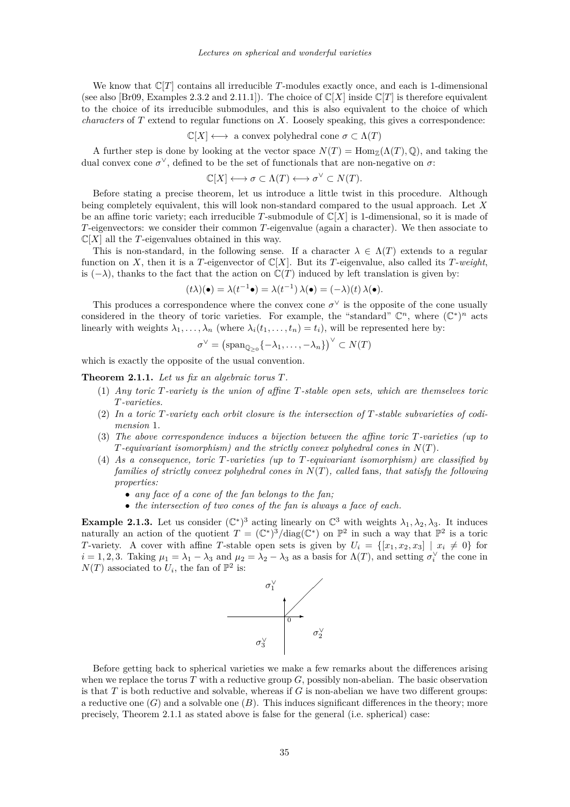<span id="page-3-0"></span>We know that  $\mathbb{C}[T]$  contains all irreducible *T*-modules exactly once, and each is 1-dimensional (see also [\[Br09,](#page-21-0) Examples 2.3.2 and 2.11.1]). The choice of  $\mathbb{C}[X]$  inside  $\mathbb{C}[T]$  is therefore equivalent to the choice of its irreducible submodules, and this is also equivalent to the choice of which *characters* of *T* extend to regular functions on *X*. Loosely speaking, this gives a correspondence:

$$
\mathbb{C}[X] \longleftrightarrow
$$
 a convex polyhedral cone  $\sigma \subset \Lambda(T)$ 

A further step is done by looking at the vector space  $N(T) = \text{Hom}_{\mathbb{Z}}(\Lambda(T), \mathbb{Q})$ , and taking the dual convex cone  $\sigma^{\vee}$ , defined to be the set of functionals that are non-negative on  $\sigma$ :

$$
\mathbb{C}[X] \longleftrightarrow \sigma \subset \Lambda(T) \longleftrightarrow \sigma^{\vee} \subset N(T).
$$

Before stating a precise theorem, let us introduce a little twist in this procedure. Although being completely equivalent, this will look non-standard compared to the usual approach. Let *X* be an affine toric variety; each irreducible *T*-submodule of  $\mathbb{C}[X]$  is 1-dimensional, so it is made of *T*-eigenvectors: we consider their common *T*-eigenvalue (again a character). We then associate to  $\mathbb{C}[X]$  all the *T*-eigenvalues obtained in this way.

This is non-standard, in the following sense. If a character  $\lambda \in \Lambda(T)$  extends to a regular function on *X*, then it is a *T*-eigenvector of  $\mathbb{C}[X]$ . But its *T*-eigenvalue, also called its *T*-weight, is  $(-\lambda)$ , thanks to the fact that the action on  $\mathbb{C}(T)$  induced by left translation is given by:

$$
(t\lambda)(\bullet) = \lambda(t^{-1}\bullet) = \lambda(t^{-1})\,\lambda(\bullet) = (-\lambda)(t)\,\lambda(\bullet).
$$

This produces a correspondence where the convex cone  $\sigma^{\vee}$  is the opposite of the cone usually considered in the theory of toric varieties. For example, the "standard"  $\mathbb{C}^n$ , where  $(\mathbb{C}^*)^n$  acts linearly with weights  $\lambda_1, \ldots, \lambda_n$  (where  $\lambda_i(t_1, \ldots, t_n) = t_i$ ), will be represented here by:

$$
\sigma^{\vee} = (\mathrm{span}_{\mathbb{Q}_{>0}}\{-\lambda_1,\ldots,-\lambda_n\})^{\vee} \subset N(T)
$$

which is exactly the opposite of the usual convention.

**Theorem 2.1.1.** *Let us fix an algebraic torus T.*

- (1) *Any toric T-variety is the union of affine T-stable open sets, which are themselves toric T-varieties.*
- (2) *In a toric T-variety each orbit closure is the intersection of T-stable subvarieties of codimension* 1*.*
- (3) *The above correspondence induces a bijection between the affine toric T-varieties (up to T-equivariant isomorphism) and the strictly convex polyhedral cones in N*(*T*)*.*
- (4) *As a consequence, toric T-varieties (up to T-equivariant isomorphism) are classified by families of strictly convex polyhedral cones in N*(*T*)*, called* fans*, that satisfy the following properties:*
	- *any face of a cone of the fan belongs to the fan;*
	- *the intersection of two cones of the fan is always a face of each.*

**Example 2.1.3.** Let us consider  $(\mathbb{C}^*)^3$  acting linearly on  $\mathbb{C}^3$  with weights  $\lambda_1, \lambda_2, \lambda_3$ . It induces naturally an action of the quotient  $T = (\mathbb{C}^*)^3 / \text{diag}(\mathbb{C}^*)$  on  $\mathbb{P}^2$  in such a way that  $\mathbb{P}^2$  is a toric *T*-variety. A cover with affine *T*-stable open sets is given by  $U_i = \{ [x_1, x_2, x_3] | x_i \neq 0 \}$  for  $i = 1, 2, 3$ . Taking  $\mu_1 = \lambda_1 - \lambda_3$  and  $\mu_2 = \lambda_2 - \lambda_3$  as a basis for  $\Lambda(T)$ , and setting  $\sigma_i^{\vee}$  the cone in  $N(T)$  associated to  $U_i$ , the fan of  $\mathbb{P}^2$  is:



Before getting back to spherical varieties we make a few remarks about the differences arising when we replace the torus  $T$  with a reductive group  $G$ , possibly non-abelian. The basic observation is that *T* is both reductive and solvable, whereas if *G* is non-abelian we have two different groups: a reductive one  $(G)$  and a solvable one  $(B)$ . This induces significant differences in the theory; more precisely, Theorem 2.1.1 as stated above is false for the general (i.e. spherical) case: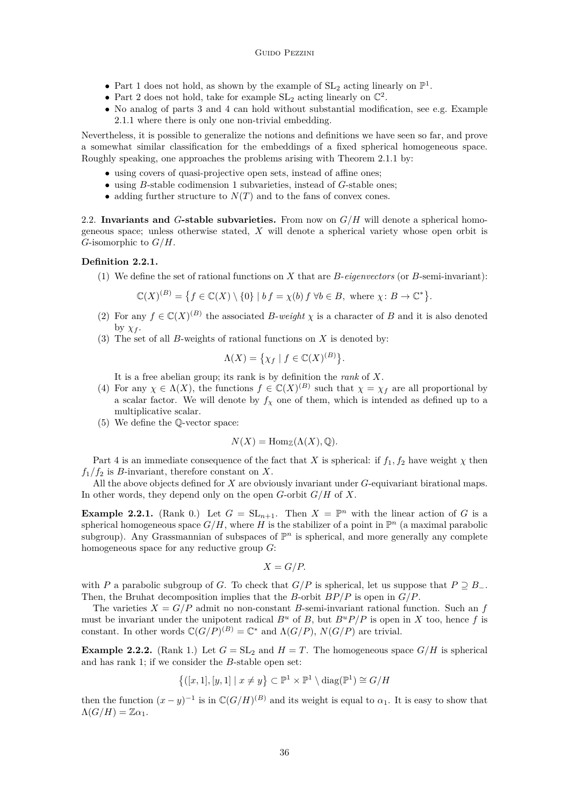- <span id="page-4-0"></span>• Part [1](#page-3-0) does not hold, as shown by the example of  $SL_2$  acting linearly on  $\mathbb{P}^1$ .
- Part [2](#page-3-0) does not hold, take for example  $SL_2$  acting linearly on  $\mathbb{C}^2$ .
- No analog of parts [3](#page-3-0) and [4](#page-3-0) can hold without substantial modification, see e.g. Example [2.1.1](#page-2-0) where there is only one non-trivial embedding.

Nevertheless, it is possible to generalize the notions and definitions we have seen so far, and prove a somewhat similar classification for the embeddings of a fixed spherical homogeneous space. Roughly speaking, one approaches the problems arising with Theorem [2.1.1](#page-3-0) by:

- using covers of quasi-projective open sets, instead of affine ones;
- using *B*-stable codimension 1 subvarieties, instead of *G*-stable ones;
- adding further structure to  $N(T)$  and to the fans of convex cones.

2.2. **Invariants and** *G***-stable subvarieties.** From now on *G/H* will denote a spherical homogeneous space; unless otherwise stated, *X* will denote a spherical variety whose open orbit is *G*-isomorphic to *G/H*.

# **Definition 2.2.1.**

(1) We define the set of rational functions on *X* that are *B*-*eigenvectors* (or *B*-semi-invariant):

*.*

$$
\mathbb{C}(X)^{(B)} = \left\{ f \in \mathbb{C}(X) \setminus \{0\} \mid bf = \chi(b) f \,\forall b \in B, \text{ where } \chi \colon B \to \mathbb{C}^* \right\}
$$

- (2) For any  $f \in \mathbb{C}(X)^{(B)}$  the associated *B-weight*  $\chi$  is a character of *B* and it is also denoted by  $\chi_f$ .
- (3) The set of all *B*-weights of rational functions on *X* is denoted by:

$$
\Lambda(X) = \{ \chi_f \mid f \in \mathbb{C}(X)^{(B)} \}.
$$

It is a free abelian group; its rank is by definition the *rank* of *X*.

- (4) For any  $\chi \in \Lambda(X)$ , the functions  $f \in \mathbb{C}(X)^{(B)}$  such that  $\chi = \chi_f$  are all proportional by a scalar factor. We will denote by  $f<sub>\chi</sub>$  one of them, which is intended as defined up to a multiplicative scalar.
- (5) We define the Q-vector space:

$$
N(X) = \operatorname{Hom}_{\mathbb{Z}}(\Lambda(X), \mathbb{Q}).
$$

Part 4 is an immediate consequence of the fact that *X* is spherical: if  $f_1, f_2$  have weight  $\chi$  then  $f_1/f_2$  is *B*-invariant, therefore constant on *X*.

All the above objects defined for *X* are obviously invariant under *G*-equivariant birational maps. In other words, they depend only on the open *G*-orbit *G/H* of *X*.

**Example 2.2.1.** (Rank 0.) Let  $G = SL_{n+1}$ . Then  $X = \mathbb{P}^n$  with the linear action of *G* is a spherical homogeneous space  $G/H$ , where H is the stabilizer of a point in  $\mathbb{P}^n$  (a maximal parabolic subgroup). Any Grassmannian of subspaces of  $\mathbb{P}^n$  is spherical, and more generally any complete homogeneous space for any reductive group *G*:

$$
X = G/P.
$$

with *P* a parabolic subgroup of *G*. To check that  $G/P$  is spherical, let us suppose that  $P \supseteq B_-\$ . Then, the Bruhat decomposition implies that the *B*-orbit *BP/P* is open in *G/P*.

The varieties  $X = G/P$  admit no non-constant *B*-semi-invariant rational function. Such an f must be invariant under the unipotent radical  $B^u$  of B, but  $B^u P/P$  is open in X too, hence f is constant. In other words  $\mathbb{C}(G/P)^{(B)} = \mathbb{C}^*$  and  $\Lambda(G/P)$ ,  $N(G/P)$  are trivial.

**Example 2.2.2.** (Rank 1.) Let  $G = SL_2$  and  $H = T$ . The homogeneous space  $G/H$  is spherical and has rank 1; if we consider the *B*-stable open set:

$$
\{(x,1],[y,1] \mid x \neq y\} \subset \mathbb{P}^1 \times \mathbb{P}^1 \setminus \text{diag}(\mathbb{P}^1) \cong G/H
$$

then the function  $(x - y)^{-1}$  is in  $\mathbb{C}(G/H)^{(B)}$  and its weight is equal to  $\alpha_1$ . It is easy to show that  $\Lambda(G/H) = \mathbb{Z}\alpha_1$ .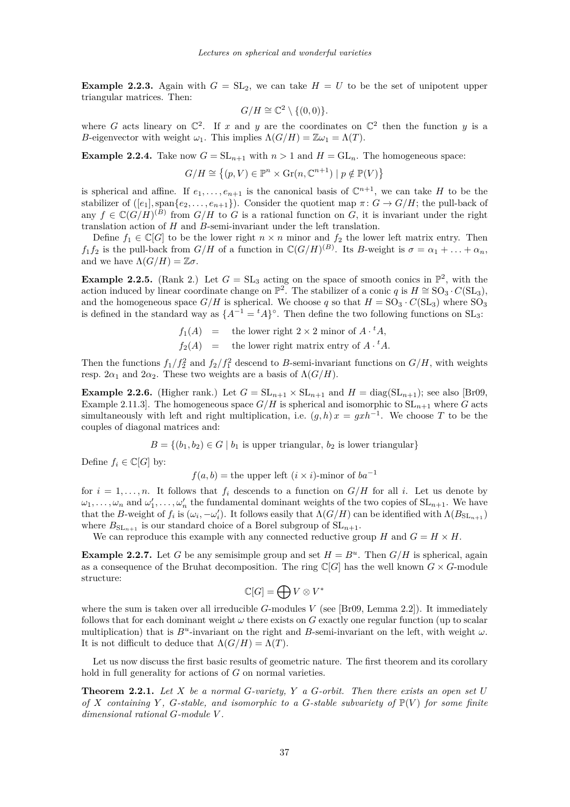<span id="page-5-0"></span>**Example 2.2.3.** Again with  $G = SL_2$ , we can take  $H = U$  to be the set of unipotent upper triangular matrices. Then:

$$
G/H \cong \mathbb{C}^2 \setminus \{(0,0)\}.
$$

where *G* acts lineary on  $\mathbb{C}^2$ . If *x* and *y* are the coordinates on  $\mathbb{C}^2$  then the function *y* is a *B*-eigenvector with weight  $\omega_1$ . This implies  $\Lambda(G/H) = \mathbb{Z}\omega_1 = \Lambda(T)$ .

**Example 2.2.4.** Take now  $G = SL_{n+1}$  with  $n > 1$  and  $H = GL_n$ . The homogeneous space:

$$
G/H \cong \{(p, V) \in \mathbb{P}^n \times \text{Gr}(n, \mathbb{C}^{n+1}) \mid p \notin \mathbb{P}(V)\}
$$

is spherical and affine. If  $e_1, \ldots, e_{n+1}$  is the canonical basis of  $\mathbb{C}^{n+1}$ , we can take *H* to be the stabilizer of  $([e_1], \text{span}\{e_2, \ldots, e_{n+1}\})$ . Consider the quotient map  $\pi: G \to G/H$ ; the pull-back of any  $f \in \mathbb{C}(G/H)^{(B)}$  from  $G/H$  to *G* is a rational function on *G*, it is invariant under the right translation action of *H* and *B*-semi-invariant under the left translation.

Define  $f_1 \in \mathbb{C}[G]$  to be the lower right  $n \times n$  minor and  $f_2$  the lower left matrix entry. Then *f*<sub>1</sub>*f*<sub>2</sub> is the pull-back from *G/H* of a function in  $\mathbb{C}(G/H)^{(B)}$ . Its *B*-weight is  $\sigma = \alpha_1 + \ldots + \alpha_n$ , and we have  $\Lambda(G/H) = \mathbb{Z}\sigma$ .

**Example 2.2.5.** (Rank 2.) Let  $G = SL_3$  acting on the space of smooth conics in  $\mathbb{P}^2$ , with the action induced by linear coordinate change on  $\mathbb{P}^2$ . The stabilizer of a conic *q* is  $H \cong SO_3 \cdot C(SL_3)$ , and the homogeneous space  $G/H$  is spherical. We choose q so that  $H = SO_3 \cdot C(SL_3)$  where  $SO_3$ is defined in the standard way as  $\{A^{-1} = {}^t A\}$ °. Then define the two following functions on SL<sub>3</sub>:

$$
f_1(A) = \text{the lower right } 2 \times 2 \text{ minor of } A \cdot {}^t A,
$$
  

$$
f_2(A) = \text{the lower right matrix entry of } A \cdot {}^t A.
$$

Then the functions  $f_1/f_2^2$  and  $f_2/f_1^2$  descend to *B*-semi-invariant functions on  $G/H$ , with weights resp. 2 $\alpha_1$  and 2 $\alpha_2$ . These two weights are a basis of  $\Lambda(G/H)$ .

**Example 2.2.6.** (Higher rank.) Let  $G = SL_{n+1} \times SL_{n+1}$  and  $H = diag(SL_{n+1})$ ; see also [\[Br09,](#page-21-0) Example 2.11.3]. The homogeneous space  $G/H$  is spherical and isomorphic to  $SL_{n+1}$  where *G* acts simultaneously with left and right multiplication, i.e.  $(g, h)x = gxh^{-1}$ . We choose *T* to be the couples of diagonal matrices and:

 $B = \{(b_1, b_2) \in G \mid b_1 \text{ is upper triangular}, b_2 \text{ is lower triangular}\}\$ 

Define  $f_i \in \mathbb{C}[G]$  by:

$$
f(a, b) =
$$
 the upper left  $(i \times i)$ -minor of  $ba^{-1}$ 

for  $i = 1, \ldots, n$ . It follows that  $f_i$  descends to a function on  $G/H$  for all *i*. Let us denote by  $\omega_1, \ldots, \omega_n$  and  $\omega'_1, \ldots, \omega'_n$  the fundamental dominant weights of the two copies of  $SL_{n+1}$ . We have that the *B*-weight of  $f_i$  is  $(\omega_i, -\omega'_i)$ . It follows easily that  $\Lambda(G/H)$  can be identified with  $\Lambda(B_{SL_{n+1}})$ where  $B_{SL_{n+1}}$  is our standard choice of a Borel subgroup of  $SL_{n+1}$ .

We can reproduce this example with any connected reductive group *H* and  $G = H \times H$ .

**Example 2.2.7.** Let *G* be any semisimple group and set  $H = B^u$ . Then  $G/H$  is spherical, again as a consequence of the Bruhat decomposition. The ring  $\mathbb{C}[G]$  has the well known  $G \times G$ -module structure:

$$
\mathbb{C}[G]=\bigoplus V\otimes V^*
$$

where the sum is taken over all irreducible  $G$ -modules  $V$  (see [\[Br09,](#page-21-0) Lemma 2.2]). It immediately follows that for each dominant weight *ω* there exists on *G* exactly one regular function (up to scalar multiplication) that is  $B^u$ -invariant on the right and  $B$ -semi-invariant on the left, with weight  $\omega$ . It is not difficult to deduce that  $\Lambda(G/H) = \Lambda(T)$ .

Let us now discuss the first basic results of geometric nature. The first theorem and its corollary hold in full generality for actions of *G* on normal varieties.

**Theorem 2.2.1.** *Let X be a normal G-variety, Y a G-orbit. Then there exists an open set U of*  $X$  *containing*  $Y$ *,*  $G$ *-stable, and isomorphic to a*  $G$ *-stable subvariety of*  $\mathbb{P}(V)$  *for some finite dimensional rational G-module V .*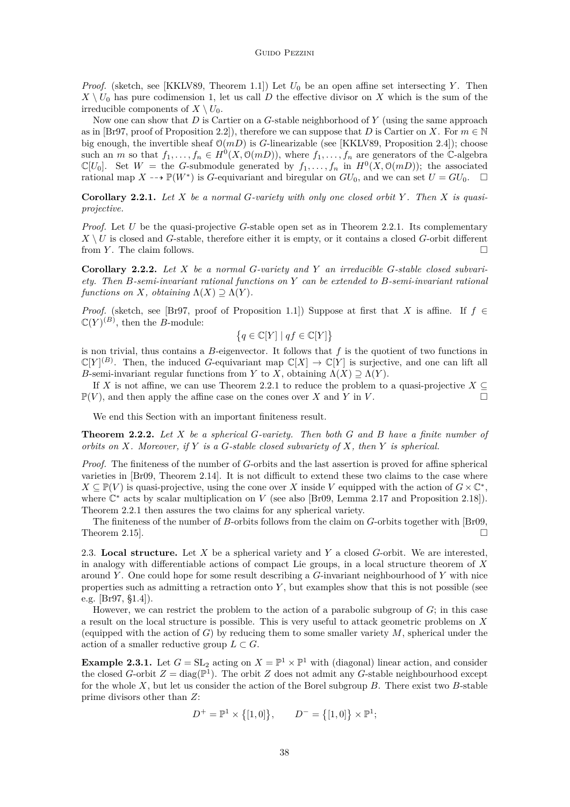<span id="page-6-0"></span>*Proof.* (sketch, see [\[KKLV89,](#page-21-0) Theorem 1.1]) Let  $U_0$  be an open affine set intersecting *Y*. Then  $X \setminus U_0$  has pure codimension 1, let us call *D* the effective divisor on *X* which is the sum of the irreducible components of  $X \setminus U_0$ .

Now one can show that *D* is Cartier on a *G*-stable neighborhood of *Y* (using the same approach as in [\[Br97,](#page-21-0) proof of Proposition 2.2]), therefore we can suppose that *D* is Cartier on *X*. For  $m \in \mathbb{N}$ big enough, the invertible sheaf  $O(mD)$  is *G*-linearizable (see [\[KKLV89,](#page-21-0) Proposition 2.4]); choose such an *m* so that  $f_1, \ldots, f_n \in H^0(X, \mathcal{O}(m))$ , where  $f_1, \ldots, f_n$  are generators of the C-algebra  $\mathbb{C}[U_0]$ . Set  $W =$  the *G*-submodule generated by  $f_1, \ldots, f_n$  in  $H^0(X, \mathcal{O}(mD))$ ; the associated rational map  $X \dashrightarrow \mathbb{P}(W^*)$  is *G*-equivariant and biregular on  $GU_0$ , and we can set  $U = GU_0$ .  $\Box$ 

**Corollary 2.2.1.** *Let X be a normal G-variety with only one closed orbit Y . Then X is quasiprojective.*

*Proof.* Let *U* be the quasi-projective *G*-stable open set as in Theorem [2.2.1.](#page-5-0) Its complementary  $X \setminus U$  is closed and *G*-stable, therefore either it is empty, or it contains a closed *G*-orbit different from *Y*. The claim follows.

**Corollary 2.2.2.** *Let X be a normal G-variety and Y an irreducible G-stable closed subvariety. Then B-semi-invariant rational functions on Y can be extended to B-semi-invariant rational functions on X, obtaining*  $\Lambda(X) \supseteq \Lambda(Y)$ *.* 

*Proof.* (sketch, see [\[Br97,](#page-21-0) proof of Proposition 1.1]) Suppose at first that *X* is affine. If  $f \in$  $\mathbb{C}(Y)^{(B)}$ , then the *B*-module:

$$
\left\{q\in\mathbb{C}[Y]\mid qf\in\mathbb{C}[Y]\right\}
$$

is non trivial, thus contains a *B*-eigenvector. It follows that *f* is the quotient of two functions in  $\mathbb{C}[Y]^{(B)}$ . Then, the induced *G*-equivariant map  $\mathbb{C}[X] \to \mathbb{C}[Y]$  is surjective, and one can lift all *B*-semi-invariant regular functions from *Y* to *X*, obtaining  $\Lambda(X) \supseteq \Lambda(Y)$ .

If *X* is not affine, we can use Theorem [2.2.1](#page-5-0) to reduce the problem to a quasi-projective  $X \subseteq$  $\mathbb{P}(V)$ , and then apply the affine case on the cones over *X* and *Y* in *V*.

We end this Section with an important finiteness result.

**Theorem 2.2.2.** *Let X be a spherical G-variety. Then both G and B have a finite number of orbits on X. Moreover, if Y is a G-stable closed subvariety of X, then Y is spherical.*

*Proof.* The finiteness of the number of *G*-orbits and the last assertion is proved for affine spherical varieties in [\[Br09,](#page-21-0) Theorem 2.14]. It is not difficult to extend these two claims to the case where  $X \subseteq \mathbb{P}(V)$  is quasi-projective, using the cone over *X* inside *V* equipped with the action of  $G \times \mathbb{C}^*$ , where  $\mathbb{C}^*$  acts by scalar multiplication on *V* (see also [\[Br09,](#page-21-0) Lemma 2.17 and Proposition 2.18]). Theorem [2.2.1](#page-5-0) then assures the two claims for any spherical variety.

The finiteness of the number of *B*-orbits follows from the claim on *G*-orbits together with [\[Br09,](#page-21-0) Theorem 2.15].  $\Box$ 

2.3. **Local structure.** Let *X* be a spherical variety and *Y* a closed *G*-orbit. We are interested, in analogy with differentiable actions of compact Lie groups, in a local structure theorem of *X* around *Y* . One could hope for some result describing a *G*-invariant neighbourhood of *Y* with nice properties such as admitting a retraction onto *Y* , but examples show that this is not possible (see e.g. [\[Br97,](#page-21-0) §1.4]).

However, we can restrict the problem to the action of a parabolic subgroup of *G*; in this case a result on the local structure is possible. This is very useful to attack geometric problems on *X* (equipped with the action of  $G$ ) by reducing them to some smaller variety  $M$ , spherical under the action of a smaller reductive group  $L \subset G$ .

**Example 2.3.1.** Let  $G = SL_2$  acting on  $X = \mathbb{P}^1 \times \mathbb{P}^1$  with (diagonal) linear action, and consider the closed *G*-orbit  $Z = \text{diag}(\mathbb{P}^1)$ . The orbit *Z* does not admit any *G*-stable neighbourhood except for the whole *X*, but let us consider the action of the Borel subgroup *B*. There exist two *B*-stable prime divisors other than *Z*:

$$
D^{+} = \mathbb{P}^{1} \times \{ [1, 0] \}, \qquad D^{-} = \{ [1, 0] \} \times \mathbb{P}^{1};
$$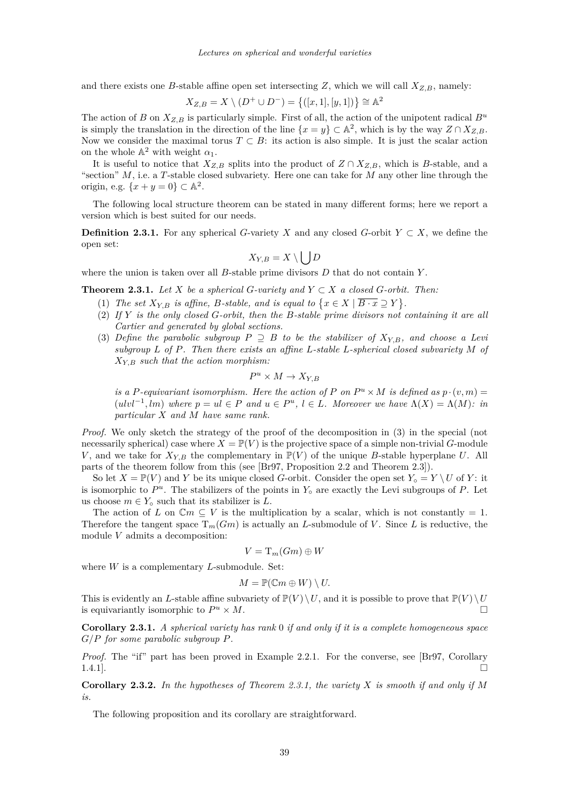<span id="page-7-0"></span>and there exists one *B*-stable affine open set intersecting *Z*, which we will call  $X_{Z,B}$ , namely:

$$
X_{Z,B} = X \setminus (D^+ \cup D^-) = \{([x,1],[y,1])\} \cong \mathbb{A}^2
$$

The action of *B* on  $X_{Z,B}$  is particularly simple. First of all, the action of the unipotent radical  $B^u$ is simply the translation in the direction of the line  $\{x = y\} \subset \mathbb{A}^2$ , which is by the way  $Z \cap X_{Z,B}$ . Now we consider the maximal torus  $T \subset B$ : its action is also simple. It is just the scalar action on the whole  $\mathbb{A}^2$  with weight  $\alpha_1$ .

It is useful to notice that  $X_{Z,B}$  splits into the product of  $Z \cap X_{Z,B}$ , which is *B*-stable, and a "section" *M*, i.e. a *T*-stable closed subvariety. Here one can take for *M* any other line through the origin, e.g.  $\{x + y = 0\} \subset \mathbb{A}^2$ .

The following local structure theorem can be stated in many different forms; here we report a version which is best suited for our needs.

**Definition 2.3.1.** For any spherical *G*-variety *X* and any closed *G*-orbit  $Y \subset X$ , we define the open set:

$$
X_{Y,B}=X\setminus \bigcup D
$$

where the union is taken over all *B*-stable prime divisors *D* that do not contain *Y* .

**Theorem 2.3.1.** Let *X* be a spherical *G*-variety and  $Y \subset X$  a closed *G*-orbit. Then:

- (1) *The set*  $X_{Y,B}$  *is affine, B*-stable, and *is equal to*  $\{x \in X \mid \overline{B \cdot x} \supseteq Y\}$ .
- (2) *If Y is the only closed G-orbit, then the B-stable prime divisors not containing it are all Cartier and generated by global sections.*
- (3) *Define the parabolic subgroup*  $P \supseteq B$  *to be the stabilizer of*  $X_{Y,B}$ *, and choose a Levi subgroup L of P. Then there exists an affine L-stable L-spherical closed subvariety M of XY,B such that the action morphism:*

$$
P^u \times M \to X_{Y,B}
$$

*is a P-equivariant isomorphism. Here the action of P* on  $P^u \times M$  *is defined as*  $p \cdot (v, m) =$  $(ulvl<sup>-1</sup>, lm)$  where  $p = ul \in P$  and  $u \in P^u$ ,  $l \in L$ *. Moreover we have*  $\Lambda(X) = \Lambda(M)$ *: in particular X and M have same rank.*

*Proof.* We only sketch the strategy of the proof of the decomposition in (3) in the special (not necessarily spherical) case where  $X = \mathbb{P}(V)$  is the projective space of a simple non-trivial *G*-module *V*, and we take for  $X_{Y,B}$  the complementary in  $\mathbb{P}(V)$  of the unique *B*-stable hyperplane *U*. All parts of the theorem follow from this (see [\[Br97,](#page-21-0) Proposition 2.2 and Theorem 2.3]).

So let  $X = \mathbb{P}(V)$  and *Y* be its unique closed *G*-orbit. Consider the open set  $Y_{\circ} = Y \setminus U$  of *Y*: it is isomorphic to  $P^u$ . The stabilizers of the points in  $Y_0$  are exactly the Levi subgroups of  $P$ . Let us choose  $m \in Y_{\text{o}}$  such that its stabilizer is *L*.

The action of *L* on  $\mathbb{C}m \subseteq V$  is the multiplication by a scalar, which is not constantly = 1. Therefore the tangent space  $T_m(Gm)$  is actually an *L*-submodule of *V*. Since *L* is reductive, the module *V* admits a decomposition:

$$
V=\mathrm{T}_m(Gm)\oplus W
$$

where *W* is a complementary *L*-submodule. Set:

$$
M=\mathbb{P}(\mathbb{C}m\oplus W)\setminus U.
$$

This is evidently an *L*-stable affine subvariety of  $\mathbb{P}(V) \setminus U$ , and it is possible to prove that  $\mathbb{P}(V) \setminus U$ is equivariantly isomorphic to  $P^u \times M$ .  $u \times M$ .

**Corollary 2.3.1.** *A spherical variety has rank* 0 *if and only if it is a complete homogeneous space G/P for some parabolic subgroup P.*

*Proof.* The "if" part has been proved in Example [2.2.1.](#page-4-0) For the converse, see [\[Br97,](#page-21-0) Corollary  $1.4.1$ ].

**Corollary 2.3.2.** *In the hypotheses of Theorem 2.3.1, the variety X is smooth if and only if M is.*

The following proposition and its corollary are straightforward.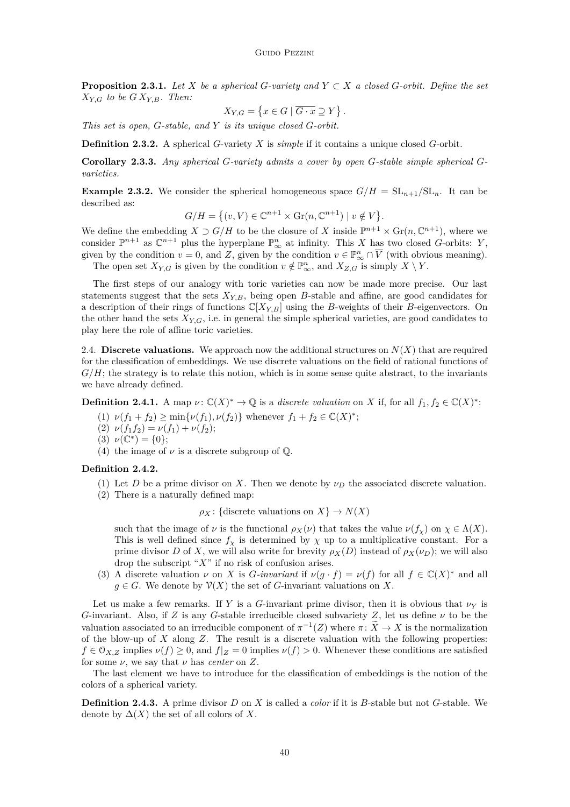<span id="page-8-0"></span>**Proposition 2.3.1.** *Let*  $X$  *be a spherical*  $G$ *-variety and*  $Y \subset X$  *a closed*  $G$ *-orbit. Define the set*  $X_{Y,G}$  *to be*  $GX_{Y,B}$ *. Then:* 

$$
X_{Y,G} = \{ x \in G \mid \overline{G \cdot x} \supseteq Y \}.
$$

*This set is open, G-stable, and Y is its unique closed G-orbit.*

**Definition 2.3.2.** A spherical *G*-variety *X* is *simple* if it contains a unique closed *G*-orbit.

**Corollary 2.3.3.** *Any spherical G-variety admits a cover by open G-stable simple spherical Gvarieties.*

**Example 2.3.2.** We consider the spherical homogeneous space  $G/H = SL_{n+1}/SL_n$ . It can be described as:

$$
G/H = \{(v, V) \in \mathbb{C}^{n+1} \times \text{Gr}(n, \mathbb{C}^{n+1}) \mid v \notin V\}.
$$

We define the embedding  $X \supset G/H$  to be the closure of X inside  $\mathbb{P}^{n+1} \times \mathrm{Gr}(n, \mathbb{C}^{n+1})$ , where we consider  $\mathbb{P}^{n+1}$  as  $\mathbb{C}^{n+1}$  plus the hyperplane  $\mathbb{P}^n_{\infty}$  at infinity. This *X* has two closed *G*-orbits: *Y*, given by the condition  $v = 0$ , and  $Z$ , given by the condition  $v \in \mathbb{P}_{\infty}^n \cap \overline{V}$  (with obvious meaning).

The open set  $X_{Y,G}$  is given by the condition  $v \notin \mathbb{P}^n_{\infty}$ , and  $X_{Z,G}$  is simply  $X \setminus Y$ .

The first steps of our analogy with toric varieties can now be made more precise. Our last statements suggest that the sets  $X_{Y,B}$ , being open  $B$ -stable and affine, are good candidates for a description of their rings of functions  $\mathbb{C}[X_{Y,B}]$  using the *B*-weights of their *B*-eigenvectors. On the other hand the sets  $X_{Y,G}$ , i.e. in general the simple spherical varieties, are good candidates to play here the role of affine toric varieties.

2.4. **Discrete valuations.** We approach now the additional structures on  $N(X)$  that are required for the classification of embeddings. We use discrete valuations on the field of rational functions of  $G/H$ ; the strategy is to relate this notion, which is in some sense quite abstract, to the invariants we have already defined.

**Definition 2.4.1.** A map  $\nu$ :  $\mathbb{C}(X)^* \to \mathbb{Q}$  is a *discrete valuation* on *X* if, for all  $f_1, f_2 \in \mathbb{C}(X)^*$ :

(1) 
$$
\nu(f_1 + f_2) \ge \min{\nu(f_1), \nu(f_2)}
$$
 whenever  $f_1 + f_2 \in \mathbb{C}(X)^*$ ;

- (2)  $\nu(f_1f_2) = \nu(f_1) + \nu(f_2);$
- (3)  $\nu(\mathbb{C}^*) = \{0\};$
- (4) the image of  $\nu$  is a discrete subgroup of  $\mathbb{Q}$ .

# **Definition 2.4.2.**

- (1) Let *D* be a prime divisor on *X*. Then we denote by  $\nu_D$  the associated discrete valuation.
- (2) There is a naturally defined map:

 $\rho_X$ : {discrete valuations on *X*}  $\rightarrow$  *N*(*X*)

such that the image of  $\nu$  is the functional  $\rho_X(\nu)$  that takes the value  $\nu(f_\chi)$  on  $\chi \in \Lambda(X)$ . This is well defined since  $f_\chi$  is determined by  $\chi$  up to a multiplicative constant. For a prime divisor *D* of *X*, we will also write for brevity  $\rho_X(D)$  instead of  $\rho_X(\nu_D)$ ; we will also drop the subscript "*X*" if no risk of confusion arises.

(3) A discrete valuation  $\nu$  on *X* is *G-invariant* if  $\nu(g \cdot f) = \nu(f)$  for all  $f \in \mathbb{C}(X)^*$  and all  $g \in G$ . We denote by  $\mathcal{V}(X)$  the set of *G*-invariant valuations on *X*.

Let us make a few remarks. If *Y* is a *G*-invariant prime divisor, then it is obvious that  $\nu<sub>V</sub>$  is *G*-invariant. Also, if *Z* is any *G*-stable irreducible closed subvariety *Z*, let us define *ν* to be the valuation associated to an irreducible component of  $\pi^{-1}(Z)$  where  $\pi: \tilde{X} \to X$  is the normalization of the blow-up of *X* along *Z*. The result is a discrete valuation with the following properties:  $f \in \mathcal{O}_{X,Z}$  implies  $\nu(f) \geq 0$ , and  $f|_Z = 0$  implies  $\nu(f) > 0$ . Whenever these conditions are satisfied for some *ν*, we say that *ν* has *center* on *Z*.

The last element we have to introduce for the classification of embeddings is the notion of the colors of a spherical variety.

**Definition 2.4.3.** A prime divisor *D* on *X* is called a *color* if it is *B*-stable but not *G*-stable. We denote by  $\Delta(X)$  the set of all colors of X.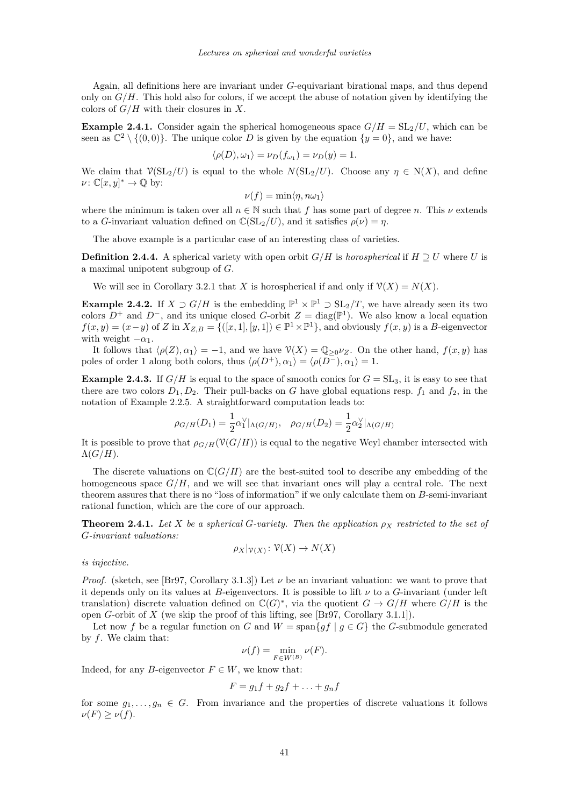<span id="page-9-0"></span>Again, all definitions here are invariant under *G*-equivariant birational maps, and thus depend only on  $G/H$ . This hold also for colors, if we accept the abuse of notation given by identifying the colors of *G/H* with their closures in *X*.

**Example 2.4.1.** Consider again the spherical homogeneous space  $G/H = SL_2/U$ , which can be seen as  $\mathbb{C}^2 \setminus \{(0,0)\}.$  The unique color *D* is given by the equation  $\{y=0\}$ , and we have:

$$
\langle \rho(D), \omega_1 \rangle = \nu_D(f_{\omega_1}) = \nu_D(y) = 1.
$$

We claim that  $\mathcal{V}(\mathrm{SL}_2/U)$  is equal to the whole  $N(\mathrm{SL}_2/U)$ . Choose any  $\eta \in N(X)$ , and define  $\nu: \mathbb{C}[x, y]^* \to \mathbb{Q}$  by:

$$
\nu(f) = \min \langle \eta, n\omega_1 \rangle
$$

where the minimum is taken over all  $n \in \mathbb{N}$  such that f has some part of degree *n*. This  $\nu$  extends to a *G*-invariant valuation defined on  $\mathbb{C}(\mathrm{SL}_2/U)$ , and it satisfies  $\rho(\nu) = \eta$ .

The above example is a particular case of an interesting class of varieties.

**Definition 2.4.4.** A spherical variety with open orbit  $G/H$  is *horospherical* if  $H \supseteq U$  where *U* is a maximal unipotent subgroup of *G*.

We will see in Corollary [3.2.1](#page-15-0) that *X* is horospherical if and only if  $\mathcal{V}(X) = N(X)$ .

**Example 2.4.2.** If  $X \supset G/H$  is the embedding  $\mathbb{P}^1 \times \mathbb{P}^1 \supset SL_2/T$ , we have already seen its two colors  $D^+$  and  $D^-$ , and its unique closed *G*-orbit  $Z = \text{diag}(\mathbb{P}^1)$ . We also know a local equation  $f(x, y) = (x - y)$  of *Z* in  $X_{Z, B} = \{([x, 1], [y, 1]) \in \mathbb{P}^1 \times \mathbb{P}^1\}$ , and obviously  $f(x, y)$  is a *B*-eigenvector with weight  $-\alpha_1$ .

It follows that  $\langle \rho(Z), \alpha_1 \rangle = -1$ , and we have  $\mathcal{V}(X) = \mathbb{Q}_{\geq 0} \nu_Z$ . On the other hand,  $f(x, y)$  has poles of order 1 along both colors, thus  $\langle \rho(D^+), \alpha_1 \rangle = \langle \rho(D^-), \alpha_1 \rangle = 1$ .

**Example 2.4.3.** If  $G/H$  is equal to the space of smooth conics for  $G = SL_3$ , it is easy to see that there are two colors  $D_1, D_2$ . Their pull-backs on *G* have global equations resp.  $f_1$  and  $f_2$ , in the notation of Example [2.2.5.](#page-5-0) A straightforward computation leads to:

$$
\rho_{G/H}(D_1) = \frac{1}{2}\alpha_1^{\vee}|_{\Lambda(G/H)}, \quad \rho_{G/H}(D_2) = \frac{1}{2}\alpha_2^{\vee}|_{\Lambda(G/H)}
$$

It is possible to prove that  $\rho_{G/H}(\mathcal{V}(G/H))$  is equal to the negative Weyl chamber intersected with  $\Lambda(G/H).$ 

The discrete valuations on  $\mathbb{C}(G/H)$  are the best-suited tool to describe any embedding of the homogeneous space  $G/H$ , and we will see that invariant ones will play a central role. The next theorem assures that there is no "loss of information" if we only calculate them on *B*-semi-invariant rational function, which are the core of our approach.

**Theorem 2.4.1.** *Let*  $X$  *be a spherical*  $G$ *-variety. Then the application*  $\rho_X$  *restricted to the set of G-invariant valuations:*

$$
\rho_X|_{\mathcal{V}(X)}\colon \mathcal{V}(X)\to N(X)
$$

*is injective.*

*Proof.* (sketch, see [\[Br97,](#page-21-0) Corollary 3.1.3]) Let  $\nu$  be an invariant valuation: we want to prove that it depends only on its values at *B*-eigenvectors. It is possible to lift  $\nu$  to a *G*-invariant (under left translation) discrete valuation defined on  $\mathbb{C}(G)^*$ , via the quotient  $G \to G/H$  where  $G/H$  is the open *G*-orbit of *X* (we skip the proof of this lifting, see [\[Br97,](#page-21-0) Corollary 3.1.1]).

Let now f be a regular function on G and  $W = \text{span}\{af \mid q \in G\}$  the G-submodule generated by *f*. We claim that:

$$
\nu(f) = \min_{F \in W^{(B)}} \nu(F).
$$

Indeed, for any *B*-eigenvector  $F \in W$ , we know that:

$$
F = g_1 f + g_2 f + \ldots + g_n f
$$

for some  $g_1, \ldots, g_n \in G$ . From invariance and the properties of discrete valuations it follows  $\nu(F) > \nu(f)$ .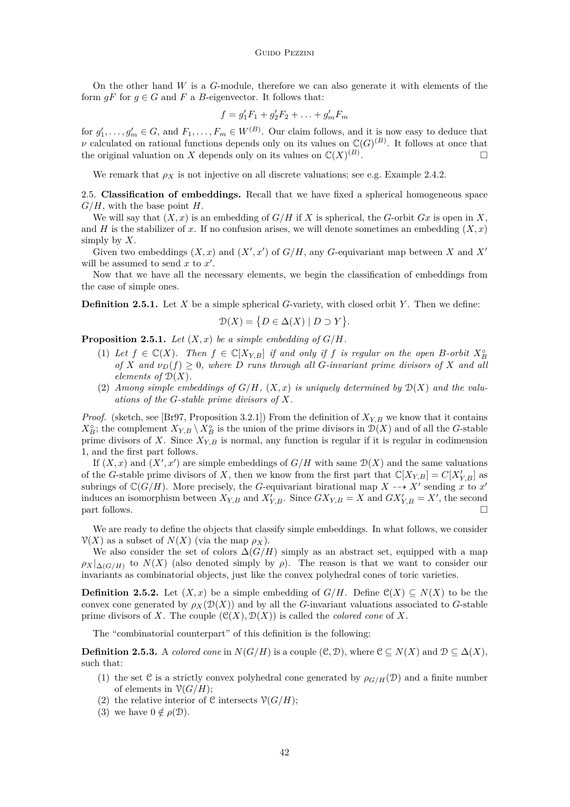<span id="page-10-0"></span>On the other hand *W* is a *G*-module, therefore we can also generate it with elements of the form  $gF$  for  $g \in G$  and  $F$  a  $B$ -eigenvector. It follows that:

$$
f = g_1' F_1 + g_2' F_2 + \ldots + g_m' F_m
$$

for  $g'_1, \ldots, g'_m \in G$ , and  $F_1, \ldots, F_m \in W^{(B)}$ . Our claim follows, and it is now easy to deduce that *ν* calculated on rational functions depends only on its values on  $\mathbb{C}(G)^{(B)}$ . It follows at once that the original valuation on *X* depends only on its values on  $\mathbb{C}(X)^{(B)}$ .

We remark that  $\rho_X$  is not injective on all discrete valuations; see e.g. Example [2.4.2.](#page-9-0)

2.5. **Classification of embeddings.** Recall that we have fixed a spherical homogeneous space *G/H*, with the base point *H*.

We will say that  $(X, x)$  is an embedding of  $G/H$  if X is spherical, the *G*-orbit  $Gx$  is open in X, and *H* is the stabilizer of *x*. If no confusion arises, we will denote sometimes an embedding  $(X, x)$ simply by *X*.

Given two embeddings  $(X, x)$  and  $(X', x')$  of  $G/H$ , any *G*-equivariant map between *X* and *X'* will be assumed to send  $x$  to  $x'$ .

Now that we have all the necessary elements, we begin the classification of embeddings from the case of simple ones.

**Definition 2.5.1.** Let *X* be a simple spherical *G*-variety, with closed orbit *Y* . Then we define:

$$
\mathcal{D}(X) = \{ D \in \Delta(X) \mid D \supset Y \}.
$$

**Proposition 2.5.1.** *Let*  $(X, x)$  *be a simple embedding of*  $G/H$ *.* 

- (1) Let  $f \in \mathbb{C}(X)$ . Then  $f \in \mathbb{C}[X_{Y,B}]$  if and only if  $f$  is regular on the open  $B$ -orbit  $X_B^{\circ}$ *of X* and  $\nu_D(f) > 0$ *, where D runs through all G*-*invariant prime divisors of X* and all *elements of*  $\mathcal{D}(X)$ *.*
- (2) *Among simple embeddings of*  $G/H$ *,*  $(X, x)$  *is uniquely determined by*  $D(X)$  *and the valuations of the G-stable prime divisors of X.*

*Proof.* (sketch, see [\[Br97,](#page-21-0) Proposition 3.2.1]) From the definition of  $X_{Y,B}$  we know that it contains  $X_B^{\circ}$ ; the complement  $X_{Y,B} \setminus X_B^{\circ}$  is the union of the prime divisors in  $\mathcal{D}(X)$  and of all the *G*-stable prime divisors of X. Since  $X_{Y,B}$  is normal, any function is regular if it is regular in codimension 1, and the first part follows.

If  $(X, x)$  and  $(X', x')$  are simple embeddings of  $G/H$  with same  $\mathcal{D}(X)$  and the same valuations of the *G*-stable prime divisors of *X*, then we know from the first part that  $\mathbb{C}[X_{Y,B}] = C[X'_{Y,B}]$  as subrings of  $\mathbb{C}(G/H)$ . More precisely, the *G*-equivariant birational map  $X \dashrightarrow X'$  sending *x* to *x'* induces an isomorphism between  $X_{Y,B}$  and  $X'_{Y,B}$ . Since  $GX_{Y,B} = X$  and  $GX'_{Y,B} = X'$ , the second  $\Box$  part follows.

We are ready to define the objects that classify simple embeddings. In what follows, we consider  $V(X)$  as a subset of  $N(X)$  (via the map  $\rho_X$ ).

We also consider the set of colors  $\Delta(G/H)$  simply as an abstract set, equipped with a map  $\rho_X|_{\Delta(G/H)}$  to  $N(X)$  (also denoted simply by  $\rho$ ). The reason is that we want to consider our invariants as combinatorial objects, just like the convex polyhedral cones of toric varieties.

**Definition 2.5.2.** Let  $(X, x)$  be a simple embedding of  $G/H$ . Define  $\mathcal{C}(X) \subset N(X)$  to be the convex cone generated by  $\rho_X(\mathcal{D}(X))$  and by all the *G*-invariant valuations associated to *G*-stable prime divisors of X. The couple  $(\mathcal{C}(X), \mathcal{D}(X))$  is called the *colored cone* of X.

The "combinatorial counterpart" of this definition is the following:

**Definition 2.5.3.** A *colored cone* in  $N(G/H)$  is a couple  $(\mathcal{C}, \mathcal{D})$ , where  $\mathcal{C} \subseteq N(X)$  and  $\mathcal{D} \subseteq \Delta(X)$ , such that:

- (1) the set C is a strictly convex polyhedral cone generated by  $\rho_{G/H}(D)$  and a finite number of elements in  $\mathcal{V}(G/H)$ ;
- (2) the relative interior of C intersects  $\mathcal{V}(G/H)$ ;
- (3) we have  $0 \notin \rho(\mathcal{D})$ .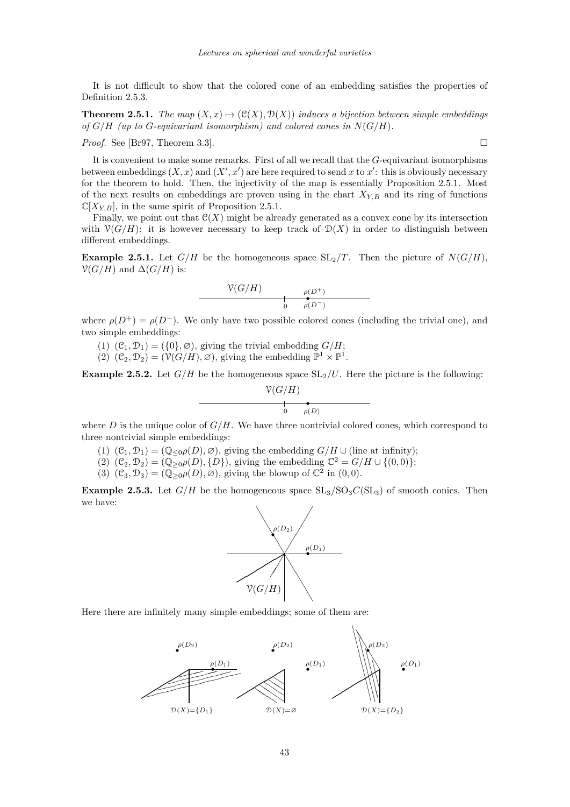<span id="page-11-0"></span>It is not difficult to show that the colored cone of an embedding satisfies the properties of Definition [2.5.3.](#page-10-0)

**Theorem 2.5.1.** *The map*  $(X, x) \mapsto (\mathcal{C}(X), \mathcal{D}(X))$  *induces a bijection between simple embeddings of*  $G/H$  (up to  $G$ -equivariant isomorphism) and colored cones in  $N(G/H)$ .

*Proof.* See [\[Br97,](#page-21-0) Theorem 3.3]. □

It is convenient to make some remarks. First of all we recall that the *G*-equivariant isomorphisms between embeddings  $(X, x)$  and  $(X', x')$  are here required to send x to x': this is obviously necessary for the theorem to hold. Then, the injectivity of the map is essentially Proposition [2.5.1.](#page-10-0) Most of the next results on embeddings are proven using in the chart  $X_{Y,B}$  and its ring of functions  $\mathbb{C}[X_{Y,B}]$ , in the same spirit of Proposition [2.5.1.](#page-10-0)

Finally, we point out that  $\mathcal{C}(X)$  might be already generated as a convex cone by its intersection with  $\mathcal{V}(G/H)$ : it is however necessary to keep track of  $\mathcal{D}(X)$  in order to distinguish between different embeddings.

**Example 2.5.1.** Let  $G/H$  be the homogeneous space  $SL_2/T$ . Then the picture of  $N(G/H)$ ,  $\mathcal{V}(G/H)$  and  $\Delta(G/H)$  is:

$$
\frac{\mathcal{V}(G/H)}{\mathfrak{v}(D^-)} \longrightarrow \mathfrak{v}(D^+)
$$

where  $\rho(D^+) = \rho(D^-)$ . We only have two possible colored cones (including the trivial one), and two simple embeddings:

- (1)  $(\mathcal{C}_1, \mathcal{D}_1) = (\{0\}, \emptyset)$ , giving the trivial embedding  $G/H$ ;
- (2)  $(\mathcal{C}_2, \mathcal{D}_2) = (\mathcal{V}(G/H), \varnothing)$ , giving the embedding  $\mathbb{P}^1 \times \mathbb{P}^1$ .

**Example 2.5.2.** Let  $G/H$  be the homogeneous space  $SL_2/U$ . Here the picture is the following:

$$
\frac{\mathcal{V}(G/H)}{\int_{0}^{\infty} \rho(D)}
$$

where  $D$  is the unique color of  $G/H$ . We have three nontrivial colored cones, which correspond to three nontrivial simple embeddings:

0

- (1)  $(\mathcal{C}_1, \mathcal{D}_1) = (\mathbb{Q}_{\leq 0} \rho(D), \varnothing)$ , giving the embedding  $G/H \cup$  (line at infinity);
- $(2)$   $(\mathcal{C}_2, \mathcal{D}_2) = (\mathbb{Q}_{\geq 0}^{\mathbb{Z}} \rho(D), \{D\})$ , giving the embedding  $\mathbb{C}^2 = G/H \cup \{(0,0)\};$
- (3)  $(C_3, D_3) = (\mathbb{Q}_{\geq 0} \rho(D), \varnothing)$ , giving the blowup of  $\mathbb{C}^2$  in  $(0,0)$ .

**Example 2.5.3.** Let  $G/H$  be the homogeneous space  $SL_3/SO_3C(SL_3)$  of smooth conics. Then we have:



Here there are infinitely many simple embeddings; some of them are:

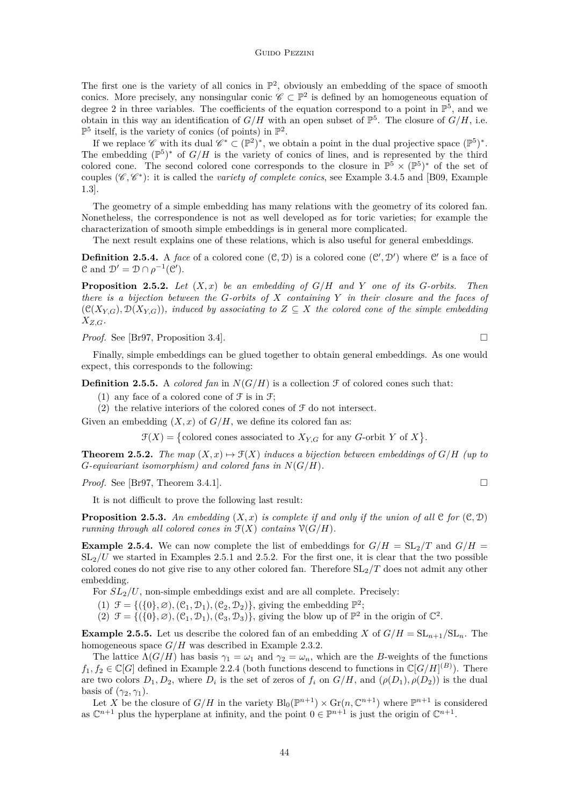<span id="page-12-0"></span>The first one is the variety of all conics in  $\mathbb{P}^2$ , obviously an embedding of the space of smooth conics. More precisely, any nonsingular conic  $\mathscr{C} \subset \mathbb{P}^2$  is defined by an homogeneous equation of degree 2 in three variables. The coefficients of the equation correspond to a point in  $\mathbb{P}^5$ , and we obtain in this way an identification of  $G/H$  with an open subset of  $\mathbb{P}^5$ . The closure of  $G/H$ , i.e.  $\mathbb{P}^5$  itself, is the variety of conics (of points) in  $\mathbb{P}^2$ .

If we replace  $\mathscr{C}$  with its dual  $\mathscr{C}^* \subset (\mathbb{P}^2)^*$ , we obtain a point in the dual projective space  $(\mathbb{P}^5)^*$ . The embedding  $(\mathbb{P}^5)^*$  of  $G/H$  is the variety of conics of lines, and is represented by the third colored cone. The second colored cone corresponds to the closure in  $\mathbb{P}^5 \times (\mathbb{P}^5)^*$  of the set of couples  $(\mathscr{C}, \mathscr{C}^*)$ : it is called the *variety of complete conics*, see Example [3.4.5](#page-18-0) and [\[B09,](#page-21-0) Example 1.3].

The geometry of a simple embedding has many relations with the geometry of its colored fan. Nonetheless, the correspondence is not as well developed as for toric varieties; for example the characterization of smooth simple embeddings is in general more complicated.

The next result explains one of these relations, which is also useful for general embeddings.

**Definition 2.5.4.** A *face* of a colored cone  $(\mathcal{C}, \mathcal{D})$  is a colored cone  $(\mathcal{C}', \mathcal{D}')$  where  $\mathcal{C}'$  is a face of  $\mathcal{C}$  and  $\mathcal{D}' = \mathcal{D} \cap \rho^{-1}(\mathcal{C}')$ .

**Proposition 2.5.2.** *Let* (*X, x*) *be an embedding of G/H and Y one of its G-orbits. Then there is a bijection between the G-orbits of X containing Y in their closure and the faces of*  $(C(X_{Y,G}), \mathcal{D}(X_{Y,G}))$ *, induced by associating to*  $Z \subseteq X$  *the colored cone of the simple embedding XZ,G.*

*Proof.* See [\[Br97,](#page-21-0) Proposition 3.4]. □

Finally, simple embeddings can be glued together to obtain general embeddings. As one would expect, this corresponds to the following:

**Definition 2.5.5.** A *colored fan* in  $N(G/H)$  is a collection  $\mathcal F$  of colored cones such that:

- (1) any face of a colored cone of  $\mathcal F$  is in  $\mathcal F$ ;
- (2) the relative interiors of the colored cones of  $\mathcal F$  do not intersect.

Given an embedding  $(X, x)$  of  $G/H$ , we define its colored fan as:

 $\mathcal{F}(X) = \{ \text{colored cones associated to } X_{Y,G} \text{ for any } G\text{-orbit } Y \text{ of } X \}.$ 

**Theorem 2.5.2.** The map  $(X, x) \mapsto \mathcal{F}(X)$  induces a bijection between embeddings of  $G/H$  (up to *G-equivariant isomorphism) and colored fans in N*(*G/H*)*.*

*Proof.* See [\[Br97,](#page-21-0) Theorem 3.4.1]. □

It is not difficult to prove the following last result:

**Proposition 2.5.3.** An embedding  $(X, x)$  is complete if and only if the union of all  $C$  for  $(C, D)$ *running through all colored cones in*  $\mathcal{F}(X)$  *contains*  $\mathcal{V}(G/H)$ *.* 

**Example 2.5.4.** We can now complete the list of embeddings for  $G/H = SL_2/T$  and  $G/H =$  $SL<sub>2</sub>/U$  we started in Examples [2.5.1](#page-11-0) and [2.5.2.](#page-11-0) For the first one, it is clear that the two possible colored cones do not give rise to any other colored fan. Therefore SL2*/T* does not admit any other embedding.

For  $SL_2/U$ , non-simple embeddings exist and are all complete. Precisely:

(1)  $\mathcal{F} = \{(\{0\}, \varnothing), (\mathcal{C}_1, \mathcal{D}_1), (\mathcal{C}_2, \mathcal{D}_2)\},$  giving the embedding  $\mathbb{P}^2$ ;

 $(2)$   $\mathcal{F} = \{(\{0\}, \varnothing), (\mathcal{C}_1, \mathcal{D}_1), (\mathcal{C}_3, \mathcal{D}_3)\},$  giving the blow up of  $\mathbb{P}^2$  in the origin of  $\mathbb{C}^2$ .

**Example 2.5.5.** Let us describe the colored fan of an embedding *X* of  $G/H = SL_{n+1}/SL_n$ . The homogeneous space *G/H* was described in Example [2.3.2.](#page-8-0)

The lattice  $\Lambda(G/H)$  has basis  $\gamma_1 = \omega_1$  and  $\gamma_2 = \omega_n$ , which are the *B*-weights of the functions  $f_1, f_2 \in \mathbb{C}[G]$  defined in Example [2.2.4](#page-5-0) (both functions descend to functions in  $\mathbb{C}[G/H]^{(B)}$ ). There are two colors  $D_1, D_2$ , where  $D_i$  is the set of zeros of  $f_i$  on  $G/H$ , and  $(\rho(D_1), \rho(D_2))$  is the dual basis of  $(\gamma_2, \gamma_1)$ .

Let X be the closure of  $G/H$  in the variety  $\text{Bl}_0(\mathbb{P}^{n+1}) \times \text{Gr}(n, \mathbb{C}^{n+1})$  where  $\mathbb{P}^{n+1}$  is considered as  $\mathbb{C}^{n+1}$  plus the hyperplane at infinity, and the point  $0 \in \mathbb{P}^{n+1}$  is just the origin of  $\mathbb{C}^{n+1}$ .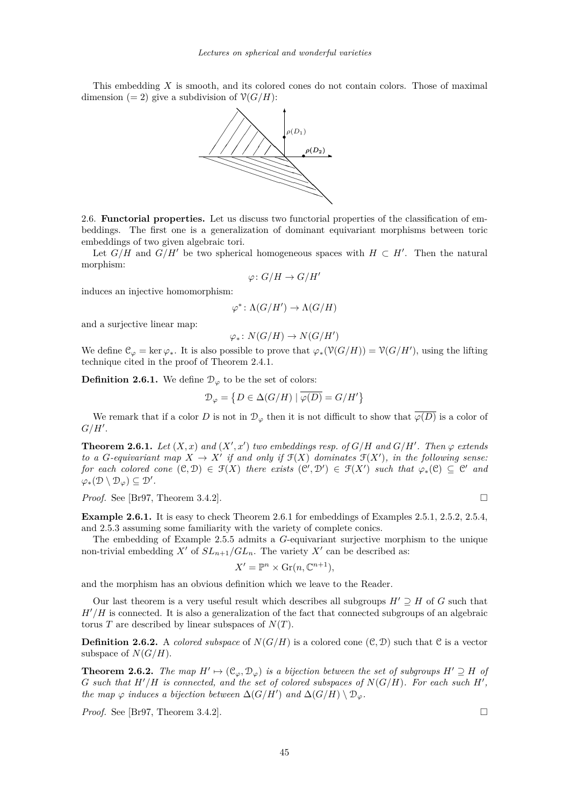<span id="page-13-0"></span>This embedding *X* is smooth, and its colored cones do not contain colors. Those of maximal dimension (= 2) give a subdivision of  $\mathcal{V}(G/H)$ :



2.6. **Functorial properties.** Let us discuss two functorial properties of the classification of embeddings. The first one is a generalization of dominant equivariant morphisms between toric embeddings of two given algebraic tori.

Let  $G/H$  and  $G/H'$  be two spherical homogeneous spaces with  $H \subset H'$ . Then the natural morphism:

$$
\varphi\colon G/H\to G/H'
$$

induces an injective homomorphism:

$$
\varphi^* \colon \Lambda(G/H') \to \Lambda(G/H)
$$

and a surjective linear map:

$$
\varphi_*\colon N(G/H)\to N(G/H')
$$

We define  $\mathcal{C}_{\varphi} = \ker \varphi_*$ . It is also possible to prove that  $\varphi_*(\mathcal{V}(G/H)) = \mathcal{V}(G/H')$ , using the lifting technique cited in the proof of Theorem [2.4.1.](#page-9-0)

**Definition 2.6.1.** We define  $\mathcal{D}_{\varphi}$  to be the set of colors:

$$
\mathcal{D}_{\varphi} = \left\{ D \in \Delta(G/H) \mid \overline{\varphi(D)} = G/H' \right\}
$$

We remark that if a color *D* is not in  $\mathcal{D}_{\varphi}$  then it is not difficult to show that  $\overline{\varphi(D)}$  is a color of  $G/H'.$ 

**Theorem 2.6.1.** Let  $(X, x)$  and  $(X', x')$  two embeddings resp. of  $G/H$  and  $G/H'$ . Then  $\varphi$  extends *to a G-equivariant map*  $X \to X'$  *if and only if*  $\mathcal{F}(X)$  *dominates*  $\mathcal{F}(X')$ *, in the following sense: for each colored cone*  $(C, D) \in \mathcal{F}(X)$  *there exists*  $(C', D') \in \mathcal{F}(X')$  *such that*  $\varphi_*(C) \subseteq C'$  *and*  $\varphi_*(\mathcal{D} \setminus \mathcal{D}_\varphi) \subseteq \mathcal{D}'.$ 

*Proof.* See [\[Br97,](#page-21-0) Theorem 3.4.2]. □

**Example 2.6.1.** It is easy to check Theorem 2.6.1 for embeddings of Examples [2.5.1,](#page-11-0) [2.5.2,](#page-11-0) [2.5.4,](#page-12-0) and [2.5.3](#page-11-0) assuming some familiarity with the variety of complete conics.

The embedding of Example [2.5.5](#page-12-0) admits a *G*-equivariant surjective morphism to the unique non-trivial embedding  $X'$  of  $SL_{n+1}/GL_n$ . The variety  $X'$  can be described as:

$$
X' = \mathbb{P}^n \times \operatorname{Gr}(n, \mathbb{C}^{n+1}),
$$

and the morphism has an obvious definition which we leave to the Reader.

Our last theorem is a very useful result which describes all subgroups  $H' \supseteq H$  of *G* such that  $H'/H$  is connected. It is also a generalization of the fact that connected subgroups of an algebraic torus *T* are described by linear subspaces of  $N(T)$ .

**Definition 2.6.2.** A *colored subspace* of  $N(G/H)$  is a colored cone  $(\mathcal{C}, \mathcal{D})$  such that  $\mathcal{C}$  is a vector subspace of  $N(G/H)$ .

**Theorem 2.6.2.** *The map*  $H' \mapsto (\mathfrak{C}_{\varphi}, \mathfrak{D}_{\varphi})$  *is a bijection between the set of subgroups*  $H' \supseteq H$  *of G* such that  $H'/H$  is connected, and the set of colored subspaces of  $N(G/H)$ . For each such  $H'$ , *the map*  $\varphi$  *induces a bijection between*  $\Delta(G/H')$  *and*  $\Delta(G/H) \setminus \mathcal{D}_{\varphi}$ *.* 

*Proof.* See [\[Br97,](#page-21-0) Theorem 3.4.2]. □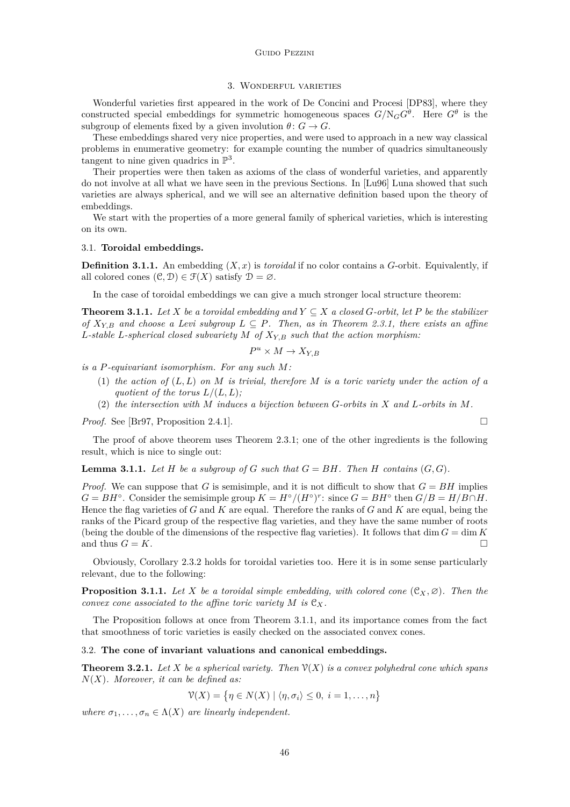# 3. Wonderful varieties

<span id="page-14-0"></span>Wonderful varieties first appeared in the work of De Concini and Procesi [\[DP83\]](#page-21-0), where they constructed special embeddings for symmetric homogeneous spaces  $G/N_G G^{\theta}$ . Here  $G^{\theta}$  is the subgroup of elements fixed by a given involution  $\theta: G \to G$ .

These embeddings shared very nice properties, and were used to approach in a new way classical problems in enumerative geometry: for example counting the number of quadrics simultaneously tangent to nine given quadrics in  $\mathbb{P}^3$ .

Their properties were then taken as axioms of the class of wonderful varieties, and apparently do not involve at all what we have seen in the previous Sections. In [\[Lu96\]](#page-21-0) Luna showed that such varieties are always spherical, and we will see an alternative definition based upon the theory of embeddings.

We start with the properties of a more general family of spherical varieties, which is interesting on its own.

## 3.1. **Toroidal embeddings.**

**Definition 3.1.1.** An embedding  $(X, x)$  is *toroidal* if no color contains a *G*-orbit. Equivalently, if all colored cones  $(\mathcal{C}, \mathcal{D}) \in \mathcal{F}(X)$  satisfy  $\mathcal{D} = \emptyset$ .

In the case of toroidal embeddings we can give a much stronger local structure theorem:

**Theorem 3.1.1.** Let *X* be a toroidal embedding and  $Y \subseteq X$  a closed *G*-orbit, let *P* be the stabilizer *of*  $X_{Y,B}$  *and choose a Levi subgroup*  $L \subseteq P$ *. Then, as in Theorem [2.3.1,](#page-7-0) there exists an affine L-stable L-spherical closed subvariety M of XY,B such that the action morphism:*

$$
P^u \times M \to X_{Y,B}
$$

*is a P-equivariant isomorphism. For any such M:*

- (1) *the action of* (*L, L*) *on M is trivial, therefore M is a toric variety under the action of a quotient of the torus*  $L/(L, L)$ *;*
- (2) *the intersection with M induces a bijection between G-orbits in X and L-orbits in M.*

*Proof.* See [\[Br97,](#page-21-0) Proposition 2.4.1]. □

The proof of above theorem uses Theorem [2.3.1;](#page-7-0) one of the other ingredients is the following result, which is nice to single out:

**Lemma 3.1.1.** Let  $H$  be a subgroup of  $G$  such that  $G = BH$ . Then  $H$  contains  $(G, G)$ .

*Proof.* We can suppose that *G* is semisimple, and it is not difficult to show that  $G = BH$  implies  $G = BH^{\circ}$ . Consider the semisimple group  $K = H^{\circ}/(H^{\circ})^r$ : since  $G = BH^{\circ}$  then  $G/B = H/B \cap H$ . Hence the flag varieties of *G* and *K* are equal. Therefore the ranks of *G* and *K* are equal, being the ranks of the Picard group of the respective flag varieties, and they have the same number of roots (being the double of the dimensions of the respective flag varieties). It follows that  $\dim G = \dim K$ and thus  $G = K$ .

Obviously, Corollary [2.3.2](#page-7-0) holds for toroidal varieties too. Here it is in some sense particularly relevant, due to the following:

**Proposition 3.1.1.** *Let*  $X$  *be a toroidal simple embedding, with colored cone*  $(C_X, \emptyset)$ *. Then the convex cone associated to the affine toric variety*  $M$  *is*  $C_X$ *.* 

The Proposition follows at once from Theorem 3.1.1, and its importance comes from the fact that smoothness of toric varieties is easily checked on the associated convex cones.

# 3.2. **The cone of invariant valuations and canonical embeddings.**

**Theorem 3.2.1.** Let *X* be a spherical variety. Then  $\mathcal{V}(X)$  is a convex polyhedral cone which spans *N*(*X*)*. Moreover, it can be defined as:*

$$
\mathcal{V}(X) = \{ \eta \in N(X) \mid \langle \eta, \sigma_i \rangle \leq 0, \ i = 1, \dots, n \}
$$

*where*  $\sigma_1, \ldots, \sigma_n \in \Lambda(X)$  *are linearly independent.*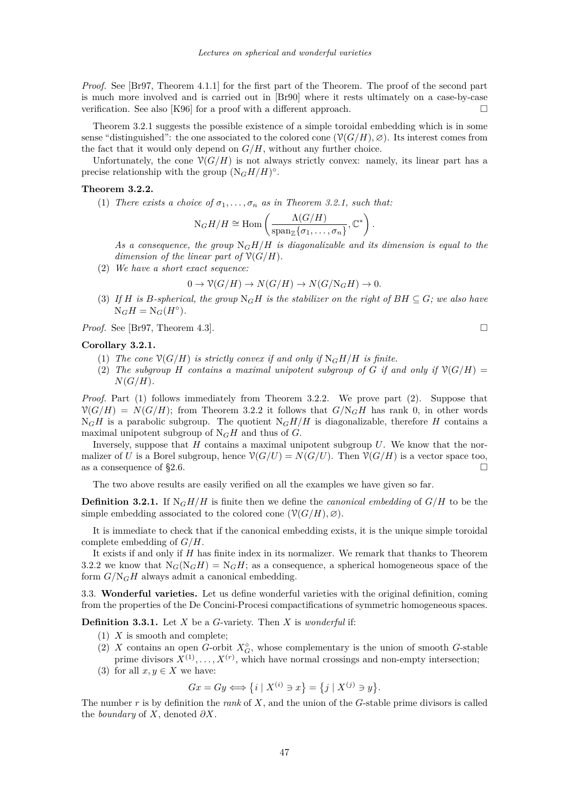<span id="page-15-0"></span>*Proof.* See [\[Br97,](#page-21-0) Theorem 4.1.1] for the first part of the Theorem. The proof of the second part is much more involved and is carried out in [\[Br90\]](#page-21-0) where it rests ultimately on a case-by-case verification. See also [\[K96\]](#page-21-0) for a proof with a different approach.  $\Box$ 

Theorem [3.2.1](#page-14-0) suggests the possible existence of a simple toroidal embedding which is in some sense "distinguished": the one associated to the colored cone  $(\mathcal{V}(G/H), \varnothing)$ . Its interest comes from the fact that it would only depend on  $G/H$ , without any further choice.

Unfortunately, the cone  $\mathcal{V}(G/H)$  is not always strictly convex: namely, its linear part has a precise relationship with the group  $(N_GH/H)^{\circ}$ .

#### **Theorem 3.2.2.**

(1) *There exists a choice of*  $\sigma_1, \ldots, \sigma_n$  *as in Theorem [3.2.1,](#page-14-0) such that:* 

$$
N_G H/H \cong \text{Hom}\left(\frac{\Lambda(G/H)}{\text{span}_{\mathbb{Z}}\{\sigma_1,\ldots,\sigma_n\}},\mathbb{C}^*\right).
$$

As a consequence, the group  $N_GH/H$  is diagonalizable and its dimension is equal to the *dimension of the linear part of*  $\mathcal{V}(G/H)$ *.* 

(2) *We have a short exact sequence:*

$$
0 \to \mathcal{V}(G/H) \to N(G/H) \to N(G/N_GH) \to 0.
$$

(3) If *H* is *B*-spherical, the group  $N_GH$  is the stabilizer on the right of  $BH \subseteq G$ ; we also have  $N_GH = N_G(H^{\circ}).$ 

*Proof.* See [\[Br97,](#page-21-0) Theorem 4.3]. □

#### **Corollary 3.2.1.**

- (1) *The cone*  $\mathcal{V}(G/H)$  *is strictly convex if and only if*  $N_GH/H$  *is finite.*
- (2) The subgroup *H* contains a maximal unipotent subgroup of *G* if and only if  $\mathcal{V}(G/H)$  =  $N(G/H)$ *.*

*Proof.* Part (1) follows immediately from Theorem 3.2.2. We prove part (2). Suppose that  $\mathcal{V}(G/H) = N(G/H)$ ; from Theorem 3.2.2 it follows that  $G/N_GH$  has rank 0, in other words  $N_GH$  is a parabolic subgroup. The quotient  $N_GH/H$  is diagonalizable, therefore *H* contains a maximal unipotent subgroup of  $N_GH$  and thus of  $G$ .

Inversely, suppose that *H* contains a maximal unipotent subgroup *U*. We know that the normalizer of *U* is a Borel subgroup, hence  $\mathcal{V}(G/U) = N(G/U)$ . Then  $\mathcal{V}(G/H)$  is a vector space too, as a consequence of [§2.6.](#page-13-0)  $\Box$ 

The two above results are easily verified on all the examples we have given so far.

**Definition 3.2.1.** If  $N_GH/H$  is finite then we define the *canonical embedding* of  $G/H$  to be the simple embedding associated to the colored cone  $(\mathcal{V}(G/H), \varnothing)$ .

It is immediate to check that if the canonical embedding exists, it is the unique simple toroidal complete embedding of *G/H*.

It exists if and only if *H* has finite index in its normalizer. We remark that thanks to Theorem 3.2.2 we know that  $N_G(N_GH) = N_GH$ ; as a consequence, a spherical homogeneous space of the form  $G/N_GH$  always admit a canonical embedding.

3.3. **Wonderful varieties.** Let us define wonderful varieties with the original definition, coming from the properties of the De Concini-Procesi compactifications of symmetric homogeneous spaces.

**Definition 3.3.1.** Let *X* be a *G*-variety. Then *X* is *wonderful* if:

- (1) *X* is smooth and complete;
- (2) *X* contains an open *G*-orbit  $X_G^{\circ}$ , whose complementary is the union of smooth *G*-stable prime divisors  $X^{(1)}, \ldots, X^{(r)}$ , which have normal crossings and non-empty intersection;
- (3) for all  $x, y \in X$  we have:

 $Gx = Gy \Longleftrightarrow \{i \mid X^{(i)} \ni x\} = \{j \mid X^{(j)} \ni y\}.$ 

The number *r* is by definition the *rank* of *X*, and the union of the *G*-stable prime divisors is called the *boundary* of *X*, denoted *∂X*.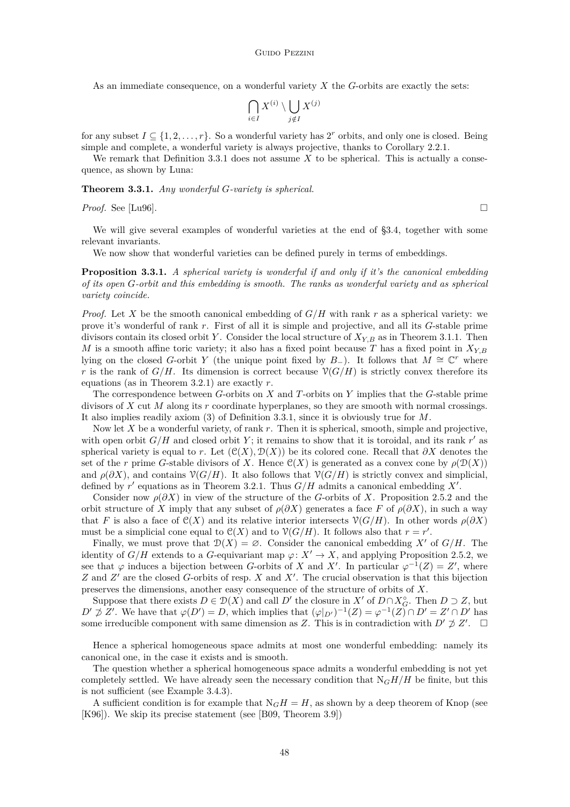<span id="page-16-0"></span>As an immediate consequence, on a wonderful variety *X* the *G*-orbits are exactly the sets:

$$
\bigcap_{i \in I} X^{(i)} \setminus \bigcup_{j \notin I} X^{(j)}
$$

for any subset  $I \subseteq \{1, 2, \ldots, r\}$ . So a wonderful variety has  $2^r$  orbits, and only one is closed. Being simple and complete, a wonderful variety is always projective, thanks to Corollary [2.2.1.](#page-6-0)

We remark that Definition [3.3.1](#page-15-0) does not assume  $X$  to be spherical. This is actually a consequence, as shown by Luna:

**Theorem 3.3.1.** *Any wonderful G-variety is spherical.*

*Proof.* See [\[Lu96\]](#page-21-0).

We will give several examples of wonderful varieties at the end of [§3.4,](#page-17-0) together with some relevant invariants.

We now show that wonderful varieties can be defined purely in terms of embeddings.

**Proposition 3.3.1.** *A spherical variety is wonderful if and only if it's the canonical embedding of its open G-orbit and this embedding is smooth. The ranks as wonderful variety and as spherical variety coincide.*

*Proof.* Let *X* be the smooth canonical embedding of *G/H* with rank *r* as a spherical variety: we prove it's wonderful of rank *r*. First of all it is simple and projective, and all its *G*-stable prime divisors contain its closed orbit *Y* . Consider the local structure of *XY,B* as in Theorem [3.1.1.](#page-14-0) Then *M* is a smooth affine toric variety; it also has a fixed point because *T* has a fixed point in  $X_{Y,B}$ lying on the closed *G*-orbit *Y* (the unique point fixed by *B*<sub>−</sub>). It follows that  $M \cong \mathbb{C}^r$  where *r* is the rank of *G/H*. Its dimension is correct because  $\mathcal{V}(G/H)$  is strictly convex therefore its equations (as in Theorem [3.2.1\)](#page-14-0) are exactly *r*.

The correspondence between *G*-orbits on *X* and *T*-orbits on *Y* implies that the *G*-stable prime divisors of *X* cut *M* along its *r* coordinate hyperplanes, so they are smooth with normal crossings. It also implies readily axiom [\(3\)](#page-15-0) of Definition [3.3.1,](#page-15-0) since it is obviously true for *M*.

Now let *X* be a wonderful variety, of rank *r*. Then it is spherical, smooth, simple and projective, with open orbit  $G/H$  and closed orbit  $Y$ ; it remains to show that it is toroidal, and its rank  $r'$  as spherical variety is equal to *r*. Let  $(\mathcal{C}(X), \mathcal{D}(X))$  be its colored cone. Recall that  $\partial X$  denotes the set of the *r* prime *G*-stable divisors of *X*. Hence  $\mathcal{C}(X)$  is generated as a convex cone by  $\rho(\mathcal{D}(X))$ and  $\rho(\partial X)$ , and contains  $\mathcal{V}(G/H)$ . It also follows that  $\mathcal{V}(G/H)$  is strictly convex and simplicial, defined by  $r'$  equations as in Theorem [3.2.1.](#page-14-0) Thus  $G/H$  admits a canonical embedding  $X'$ .

Consider now  $\rho(\partial X)$  in view of the structure of the *G*-orbits of *X*. Proposition [2.5.2](#page-12-0) and the orbit structure of *X* imply that any subset of  $\rho(\partial X)$  generates a face *F* of  $\rho(\partial X)$ , in such a way that *F* is also a face of  $\mathcal{C}(X)$  and its relative interior intersects  $\mathcal{V}(G/H)$ . In other words  $\rho(\partial X)$ must be a simplicial cone equal to  $\mathcal{C}(X)$  and to  $\mathcal{V}(G/H)$ . It follows also that  $r = r'$ .

Finally, we must prove that  $\mathcal{D}(X) = \emptyset$ . Consider the canonical embedding X' of  $G/H$ . The identity of  $G/H$  extends to a *G*-equivariant map  $\varphi: X' \to X$ , and applying Proposition [2.5.2,](#page-12-0) we see that  $\varphi$  induces a bijection between *G*-orbits of *X* and *X'*. In particular  $\varphi^{-1}(Z) = Z'$ , where *Z* and *Z*<sup> $\prime$ </sup> are the closed *G*-orbits of resp. *X* and *X*<sup> $\prime$ </sup>. The crucial observation is that this bijection preserves the dimensions, another easy consequence of the structure of orbits of *X*.

Suppose that there exists  $D \in \mathcal{D}(X)$  and call  $D'$  the closure in  $X'$  of  $D \cap X_G^{\circ}$ . Then  $D \supset Z$ , but  $D' \not\supseteq Z'$ . We have that  $\varphi(D') = D$ , which implies that  $(\varphi|_{D'})^{-1}(Z) = \varphi^{-1}(Z) \cap D' = Z' \cap D'$  has some irreducible component with same dimension as *Z*. This is in contradiction with *D'*  $\phi$  *Z'*. □

Hence a spherical homogeneous space admits at most one wonderful embedding: namely its canonical one, in the case it exists and is smooth.

The question whether a spherical homogeneous space admits a wonderful embedding is not yet completely settled. We have already seen the necessary condition that  $N<sub>G</sub>H/H$  be finite, but this is not sufficient (see Example [3.4.3\)](#page-18-0).

A sufficient condition is for example that  $N_GH = H$ , as shown by a deep theorem of Knop (see [\[K96\]](#page-21-0)). We skip its precise statement (see [\[B09,](#page-21-0) Theorem 3.9])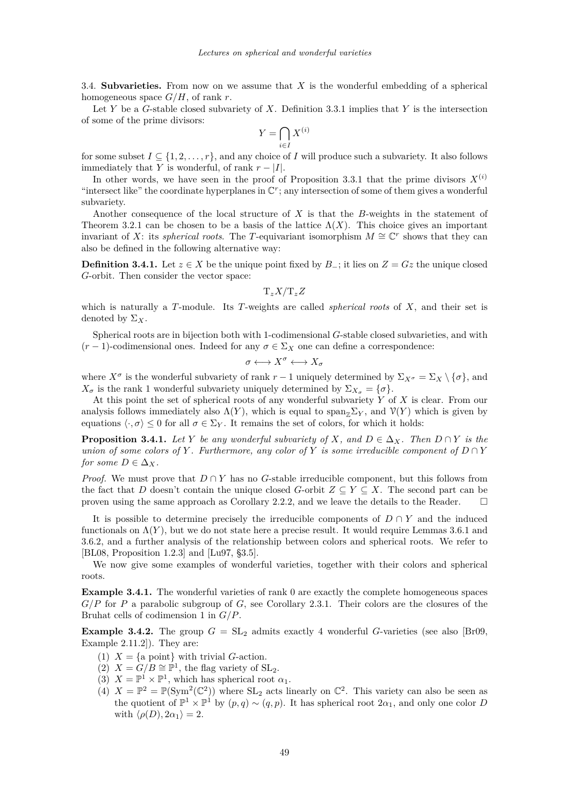<span id="page-17-0"></span>3.4. **Subvarieties.** From now on we assume that *X* is the wonderful embedding of a spherical homogeneous space *G/H*, of rank *r*.

Let *Y* be a *G*-stable closed subvariety of *X*. Definition [3.3.1](#page-15-0) implies that *Y* is the intersection of some of the prime divisors:

$$
Y = \bigcap_{i \in I} X^{(i)}
$$

for some subset  $I \subseteq \{1, 2, \ldots, r\}$ , and any choice of *I* will produce such a subvariety. It also follows immediately that *Y* is wonderful, of rank  $r - |I|$ .

In other words, we have seen in the proof of Proposition [3.3.1](#page-16-0) that the prime divisors  $X^{(i)}$ "intersect like" the coordinate hyperplanes in  $\mathbb{C}^r$ ; any intersection of some of them gives a wonderful subvariety.

Another consequence of the local structure of *X* is that the *B*-weights in the statement of Theorem [3.2.1](#page-14-0) can be chosen to be a basis of the lattice  $\Lambda(X)$ . This choice gives an important invariant of *X*: its *spherical roots*. The *T*-equivariant isomorphism  $M \cong \mathbb{C}^r$  shows that they can also be defined in the following alternative way:

**Definition 3.4.1.** Let  $z \in X$  be the unique point fixed by  $B_$ ; it lies on  $Z = Gz$  the unique closed *G*-orbit. Then consider the vector space:

T*zX/*T*zZ*

which is naturally a *T*-module. Its *T*-weights are called *spherical roots* of *X*, and their set is denoted by  $\Sigma_X$ .

Spherical roots are in bijection both with 1-codimensional *G*-stable closed subvarieties, and with  $(r-1)$ -codimensional ones. Indeed for any  $\sigma \in \Sigma_X$  one can define a correspondence:

$$
\sigma \longleftrightarrow X^{\sigma} \longleftrightarrow X_{\sigma}
$$

where  $X^{\sigma}$  is the wonderful subvariety of rank  $r-1$  uniquely determined by  $\Sigma_{X^{\sigma}} = \Sigma_{X} \setminus \{\sigma\}$ , and *X*<sup>*σ*</sup> is the rank 1 wonderful subvariety uniquely determined by  $\Sigma_{X_\sigma} = {\sigma}.$ 

At this point the set of spherical roots of any wonderful subvariety *Y* of *X* is clear. From our analysis follows immediately also  $\Lambda(Y)$ , which is equal to span<sub> $\mathbb{Z}_Y$ </sub>, and  $\mathcal{V}(Y)$  which is given by equations  $\langle \cdot, \sigma \rangle \leq 0$  for all  $\sigma \in \Sigma_Y$ . It remains the set of colors, for which it holds:

**Proposition 3.4.1.** *Let Y be any wonderful subvariety of X, and*  $D \in \Delta_X$ *. Then*  $D \cap Y$  *is the union of some colors of Y*. Furthermore, any color of *Y is some irreducible component of*  $D \cap Y$ *for some*  $D \in \Delta_X$ *.* 

*Proof.* We must prove that  $D \cap Y$  has no *G*-stable irreducible component, but this follows from the fact that *D* doesn't contain the unique closed *G*-orbit  $Z \subseteq Y \subseteq X$ . The second part can be proven using the same approach as Corollary [2.2.2,](#page-6-0) and we leave the details to the Reader.  $\square$ 

It is possible to determine precisely the irreducible components of  $D \cap Y$  and the induced functionals on  $\Lambda(Y)$ , but we do not state here a precise result. It would require Lemmas [3.6.1](#page-20-0) and [3.6.2,](#page-20-0) and a further analysis of the relationship between colors and spherical roots. We refer to [\[BL08,](#page-21-0) Proposition 1.2.3] and [\[Lu97,](#page-21-0) §3.5].

We now give some examples of wonderful varieties, together with their colors and spherical roots.

**Example 3.4.1.** The wonderful varieties of rank 0 are exactly the complete homogeneous spaces *G/P* for *P* a parabolic subgroup of *G*, see Corollary [2.3.1.](#page-7-0) Their colors are the closures of the Bruhat cells of codimension 1 in *G/P*.

**Example 3.4.2.** The group  $G = SL_2$  admits exactly 4 wonderful *G*-varieties (see also [\[Br09,](#page-21-0) Example 2.11.2]). They are:

- (1)  $X = \{a \text{ point}\}\$  with trivial *G*-action.
- (2)  $X = G/B \cong \mathbb{P}^1$ , the flag variety of SL<sub>2</sub>.
- (3)  $X = \mathbb{P}^1 \times \mathbb{P}^1$ , which has spherical root  $\alpha_1$ .
- (4)  $X = \mathbb{P}^2 = \mathbb{P}(\text{Sym}^2(\mathbb{C}^2))$  where  $\text{SL}_2$  acts linearly on  $\mathbb{C}^2$ . This variety can also be seen as the quotient of  $\mathbb{P}^1 \times \mathbb{P}^1$  by  $(p,q) \sim (q,p)$ . It has spherical root  $2\alpha_1$ , and only one color *D* with  $\langle \rho(D), 2\alpha_1 \rangle = 2$ .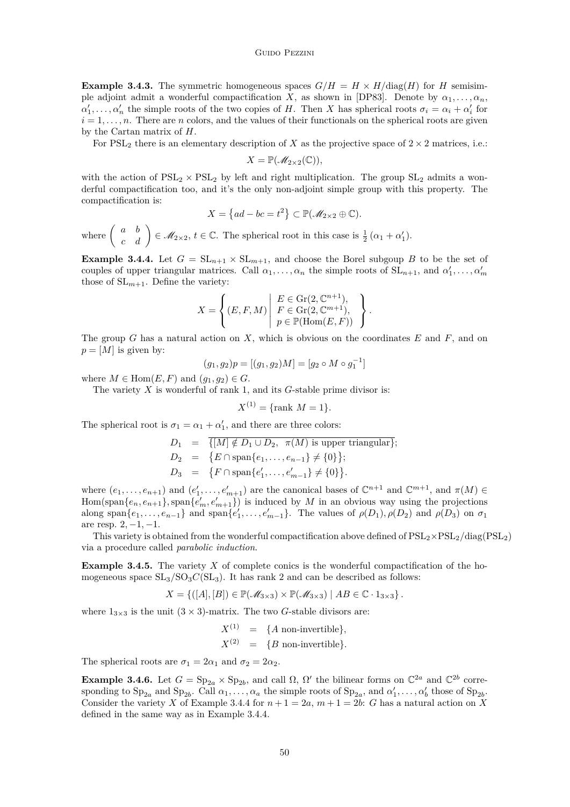<span id="page-18-0"></span>**Example 3.4.3.** The symmetric homogeneous spaces  $G/H = H \times H/\text{diag}(H)$  for *H* semisimple adjoint admit a wonderful compactification *X*, as shown in [\[DP83\]](#page-21-0). Denote by  $\alpha_1, \ldots, \alpha_n$ ,  $\alpha'_1, \ldots, \alpha'_n$  the simple roots of the two copies of *H*. Then *X* has spherical roots  $\sigma_i = \alpha_i + \alpha'_i$  for  $i = 1, \ldots, n$ . There are *n* colors, and the values of their functionals on the spherical roots are given by the Cartan matrix of *H*.

For  $PSL<sub>2</sub>$  there is an elementary description of *X* as the projective space of  $2 \times 2$  matrices, i.e.:

$$
X=\mathbb{P}(\mathscr{M}_{2\times 2}(\mathbb{C})),
$$

with the action of  $PSL_2 \times PSL_2$  by left and right multiplication. The group  $SL_2$  admits a wonderful compactification too, and it's the only non-adjoint simple group with this property. The compactification is:

$$
X = \{ad - bc = t^2\} \subset \mathbb{P}(\mathcal{M}_{2 \times 2} \oplus \mathbb{C}).
$$

where  $\begin{pmatrix} a & b \\ c & d \end{pmatrix} \in \mathcal{M}_{2\times 2}$ ,  $t \in \mathbb{C}$ . The spherical root in this case is  $\frac{1}{2}(\alpha_1 + \alpha_1')$ .

**Example 3.4.4.** Let  $G = SL_{n+1} \times SL_{m+1}$ , and choose the Borel subgoup *B* to be the set of couples of upper triangular matrices. Call  $\alpha_1, \ldots, \alpha_n$  the simple roots of  $SL_{n+1}$ , and  $\alpha'_1, \ldots, \alpha'_m$ those of  $SL_{m+1}$ . Define the variety:

$$
X = \left\{ (E, F, M) \mid \begin{array}{l} E \in \text{Gr}(2, \mathbb{C}^{n+1}), \\ F \in \text{Gr}(2, \mathbb{C}^{m+1}), \\ p \in \mathbb{P}(\text{Hom}(E, F)) \end{array} \right\}.
$$

The group *G* has a natural action on *X*, which is obvious on the coordinates *E* and *F*, and on  $p = [M]$  is given by:

$$
(g_1, g_2)p = [(g_1, g_2)M] = [g_2 \circ M \circ g_1^{-1}]
$$

where  $M \in \text{Hom}(E, F)$  and  $(q_1, q_2) \in G$ .

The variety *X* is wonderful of rank 1, and its *G*-stable prime divisor is:

$$
X^{(1)} = \{ \text{rank } M = 1 \}.
$$

The spherical root is  $\sigma_1 = \alpha_1 + \alpha'_1$ , and there are three colors:

$$
D_1 = \{ [M] \notin D_1 \cup D_2, \ \pi(M) \text{ is upper triangular} \};
$$
  
\n
$$
D_2 = \{ E \cap \text{span}\{e_1, \dots, e_{n-1}\} \neq \{0\} \};
$$
  
\n
$$
D_3 = \{ F \cap \text{span}\{e'_1, \dots, e'_{m-1}\} \neq \{0\} \}.
$$

where  $(e_1, \ldots, e_{n+1})$  and  $(e'_1, \ldots, e'_{m+1})$  are the canonical bases of  $\mathbb{C}^{n+1}$  and  $\mathbb{C}^{m+1}$ , and  $\pi(M) \in$  $Hom(\text{span}\{e_n, e_{n+1}\}, \text{span}\{e'_m, e'_{m+1}\})$  is induced by *M* in an obvious way using the projections along span $\{e_1, \ldots, e_{n-1}\}\$  and span $\{e'_1, \ldots, e'_{m-1}\}\$ . The values of  $\rho(D_1), \rho(D_2)$  and  $\rho(D_3)$  on  $\sigma_1$ are resp. 2*,* −1*,* −1.

This variety is obtained from the wonderful compactification above defined of  $PSL_2 \times PSL_2/diag(PSL_2)$ via a procedure called *parabolic induction*.

**Example 3.4.5.** The variety X of complete conics is the wonderful compactification of the homogeneous space  $SL_3/SO_3C(SL_3)$ . It has rank 2 and can be described as follows:

$$
X = \{ ([A], [B]) \in \mathbb{P}(\mathcal{M}_{3\times 3}) \times \mathbb{P}(\mathcal{M}_{3\times 3}) \mid AB \in \mathbb{C} \cdot 1_{3\times 3} \}.
$$

where  $1_{3\times 3}$  is the unit  $(3 \times 3)$ -matrix. The two *G*-stable divisors are:

$$
X^{(1)} = \{A \text{ non-invertible}\},
$$
  

$$
X^{(2)} = \{B \text{ non-invertible}\}.
$$

The spherical roots are  $\sigma_1 = 2\alpha_1$  and  $\sigma_2 = 2\alpha_2$ .

**Example 3.4.6.** Let  $G = \text{Sp}_{2a} \times \text{Sp}_{2b}$ , and call  $\Omega$ ,  $\Omega'$  the bilinear forms on  $\mathbb{C}^{2a}$  and  $\mathbb{C}^{2b}$  corresponding to  $\text{Sp}_{2a}$  and  $\text{Sp}_{2b}$ . Call  $\alpha_1, \ldots, \alpha_a$  the simple roots of  $\text{Sp}_{2a}$ , and  $\alpha'_1, \ldots, \alpha'_b$  those of  $\text{Sp}_{2b}$ . Consider the variety *X* of Example 3.4.4 for  $n + 1 = 2a$ ,  $m + 1 = 2b$ : *G* has a natural action on *X* defined in the same way as in Example 3.4.4.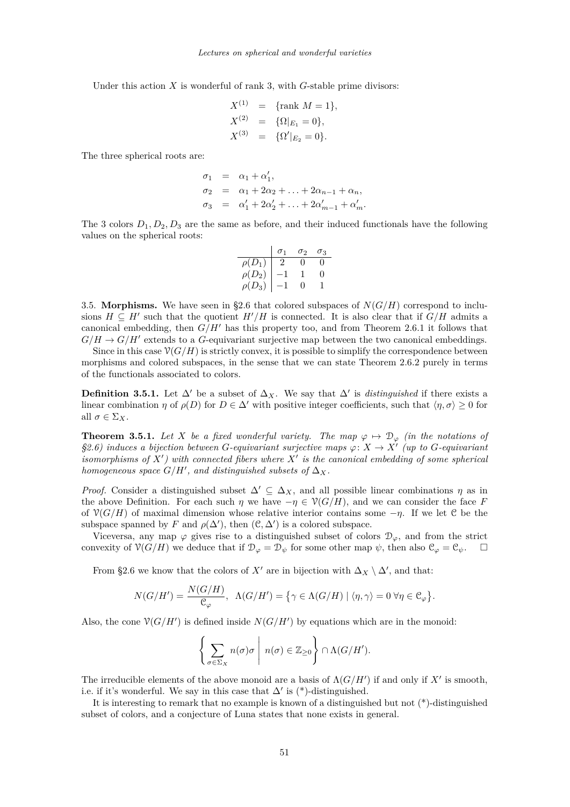Under this action *X* is wonderful of rank 3, with *G*-stable prime divisors:

$$
X^{(1)} = \{\text{rank } M = 1\},
$$
  
\n
$$
X^{(2)} = \{\Omega|_{E_1} = 0\},
$$
  
\n
$$
X^{(3)} = \{\Omega'|_{E_2} = 0\}.
$$

The three spherical roots are:

$$
\sigma_1 = \alpha_1 + \alpha'_1,
$$
  
\n
$$
\sigma_2 = \alpha_1 + 2\alpha_2 + \ldots + 2\alpha_{n-1} + \alpha_n,
$$
  
\n
$$
\sigma_3 = \alpha'_1 + 2\alpha'_2 + \ldots + 2\alpha'_{m-1} + \alpha'_m.
$$

The 3 colors *D*1*, D*2*, D*<sup>3</sup> are the same as before, and their induced functionals have the following values on the spherical roots:

$$
\begin{array}{c|cc}\n & \sigma_1 & \sigma_2 & \sigma_3 \\
\hline\n\rho(D_1) & 2 & 0 & 0 \\
\rho(D_2) & -1 & 1 & 0 \\
\rho(D_3) & -1 & 0 & 1\n\end{array}
$$

3.5. **Morphisms.** We have seen in [§2.6](#page-13-0) that colored subspaces of  $N(G/H)$  correspond to inclusions  $H \subseteq H'$  such that the quotient  $H'/H$  is connected. It is also clear that if  $G/H$  admits a canonical embedding, then  $G/H'$  has this property too, and from Theorem [2.6.1](#page-13-0) it follows that  $G/H \to G/H'$  extends to a *G*-equivariant surjective map between the two canonical embeddings.

Since in this case  $\mathcal{V}(G/H)$  is strictly convex, it is possible to simplify the correspondence between morphisms and colored subspaces, in the sense that we can state Theorem [2.6.2](#page-13-0) purely in terms of the functionals associated to colors.

**Definition 3.5.1.** Let  $\Delta'$  be a subset of  $\Delta_X$ . We say that  $\Delta'$  is *distinguished* if there exists a linear combination *η* of  $\rho(D)$  for  $D \in \Delta'$  with positive integer coefficients, such that  $\langle \eta, \sigma \rangle \geq 0$  for all  $\sigma \in \Sigma_X$ .

**Theorem 3.5.1.** Let *X* be a fixed wonderful variety. The map  $\varphi \mapsto \mathcal{D}_{\varphi}$  (in the notations of *[§2.6\)](#page-13-0) induces a bijection between G-equivariant surjective maps ϕ*: *X* → *X*<sup>0</sup> *(up to G-equivariant isomorphisms of*  $X'$ ) with connected fibers where  $X'$  is the canonical embedding of some spherical *homogeneous space*  $G/H'$ , and distinguished subsets of  $\Delta_X$ .

*Proof.* Consider a distinguished subset  $\Delta' \subseteq \Delta_X$ , and all possible linear combinations *η* as in the above Definition. For each such  $\eta$  we have  $-\eta \in \mathcal{V}(G/H)$ , and we can consider the face *F* of  $\mathcal{V}(G/H)$  of maximal dimension whose relative interior contains some  $-\eta$ . If we let C be the subspace spanned by *F* and  $\rho(\Delta')$ , then  $(\mathcal{C}, \Delta')$  is a colored subspace.

Viceversa, any map  $\varphi$  gives rise to a distinguished subset of colors  $\mathcal{D}_{\varphi}$ , and from the strict convexity of  $\mathcal{V}(G/H)$  we deduce that if  $\mathcal{D}_{\varphi} = \mathcal{D}_{\psi}$  for some other map  $\psi$ , then also  $\mathcal{C}_{\varphi} = \mathcal{C}_{\psi}$ .

From [§2.6](#page-13-0) we know that the colors of  $X'$  are in bijection with  $\Delta_X \setminus \Delta'$ , and that:

$$
N(G/H') = \frac{N(G/H)}{\mathcal{C}_{\varphi}}, \ \ \Lambda(G/H') = \big\{\gamma \in \Lambda(G/H) \mid \langle \eta, \gamma \rangle = 0 \ \forall \eta \in \mathcal{C}_{\varphi} \big\}.
$$

Also, the cone  $\mathcal{V}(G/H')$  is defined inside  $N(G/H')$  by equations which are in the monoid:

$$
\left\{ \sum_{\sigma \in \Sigma_X} n(\sigma) \sigma \mid n(\sigma) \in \mathbb{Z}_{\geq 0} \right\} \cap \Lambda(G/H').
$$

The irreducible elements of the above monoid are a basis of  $\Lambda(G/H')$  if and only if  $X'$  is smooth, i.e. if it's wonderful. We say in this case that  $\Delta'$  is (\*)-distinguished.

It is interesting to remark that no example is known of a distinguished but not (\*)-distinguished subset of colors, and a conjecture of Luna states that none exists in general.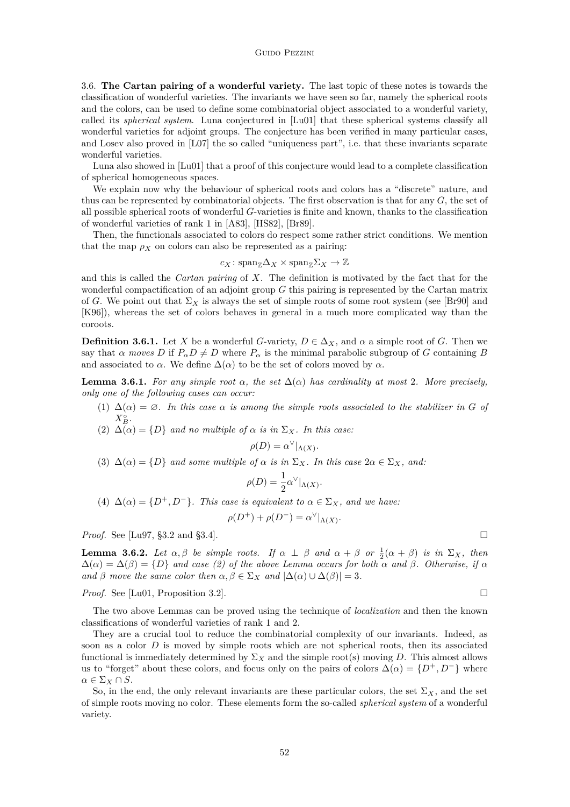<span id="page-20-0"></span>3.6. **The Cartan pairing of a wonderful variety.** The last topic of these notes is towards the classification of wonderful varieties. The invariants we have seen so far, namely the spherical roots and the colors, can be used to define some combinatorial object associated to a wonderful variety, called its *spherical system*. Luna conjectured in [\[Lu01\]](#page-21-0) that these spherical systems classify all wonderful varieties for adjoint groups. The conjecture has been verified in many particular cases, and Losev also proved in [\[L07\]](#page-21-0) the so called "uniqueness part", i.e. that these invariants separate wonderful varieties.

Luna also showed in [\[Lu01\]](#page-21-0) that a proof of this conjecture would lead to a complete classification of spherical homogeneous spaces.

We explain now why the behaviour of spherical roots and colors has a "discrete" nature, and thus can be represented by combinatorial objects. The first observation is that for any *G*, the set of all possible spherical roots of wonderful *G*-varieties is finite and known, thanks to the classification of wonderful varieties of rank 1 in [\[A83\]](#page-21-0), [\[HS82\]](#page-21-0), [\[Br89\]](#page-21-0).

Then, the functionals associated to colors do respect some rather strict conditions. We mention that the map  $\rho_X$  on colors can also be represented as a pairing:

$$
c_X \colon \text{span}_{\mathbb{Z}} \Delta_X \times \text{span}_{\mathbb{Z}} \Sigma_X \to \mathbb{Z}
$$

and this is called the *Cartan pairing* of *X*. The definition is motivated by the fact that for the wonderful compactification of an adjoint group *G* this pairing is represented by the Cartan matrix of *G*. We point out that  $\Sigma_X$  is always the set of simple roots of some root system (see [\[Br90\]](#page-21-0) and [\[K96\]](#page-21-0)), whereas the set of colors behaves in general in a much more complicated way than the coroots.

**Definition 3.6.1.** Let *X* be a wonderful *G*-variety,  $D \in \Delta_X$ , and  $\alpha$  a simple root of *G*. Then we say that *α moves*  $D$  if  $P_{\alpha}D \neq D$  where  $P_{\alpha}$  is the minimal parabolic subgroup of *G* containing *B* and associated to  $\alpha$ . We define  $\Delta(\alpha)$  to be the set of colors moved by  $\alpha$ .

**Lemma 3.6.1.** *For any simple root*  $\alpha$ , *the set*  $\Delta(\alpha)$  *has cardinality at most* 2*. More precisely, only one of the following cases can occur:*

- (1)  $\Delta(\alpha) = \varnothing$ *. In this case*  $\alpha$  *is among the simple roots associated to the stabilizer in G of*  $X_B^{\circ}$ .
- (2)  $\Delta(\alpha) = \{D\}$  *and no multiple of*  $\alpha$  *is in*  $\Sigma_X$ *. In this case:*

$$
\rho(D) = \alpha^{\vee}|_{\Lambda(X)}.
$$

(3)  $\Delta(\alpha) = \{D\}$  *and some multiple of*  $\alpha$  *is in*  $\Sigma_X$ *. In this case*  $2\alpha \in \Sigma_X$ *, and:* 

$$
\rho(D) = \frac{1}{2}\alpha^{\vee}|_{\Lambda(X)}
$$

*.*

(4) 
$$
\Delta(\alpha) = \{D^+, D^-\}
$$
. This case is equivalent to  $\alpha \in \Sigma_X$ , and we have:

$$
\rho(D^+) + \rho(D^-) = \alpha^\vee|_{\Lambda(X)}.
$$

*Proof.* See [\[Lu97,](#page-21-0) §3.2 and §3.4]. □

**Lemma 3.6.2.** *Let*  $\alpha, \beta$  *be simple roots. If*  $\alpha \perp \beta$  *and*  $\alpha + \beta$  *or*  $\frac{1}{2}(\alpha + \beta)$  *is in*  $\Sigma_X$ *, then*  $\Delta(\alpha) = \Delta(\beta) = \{D\}$  *and case (2) of the above Lemma occurs for both*  $\alpha$  *and*  $\beta$ *. Otherwise, if*  $\alpha$ *and*  $\beta$  *move the same color then*  $\alpha, \beta \in \Sigma_X$  *and*  $|\Delta(\alpha) \cup \Delta(\beta)| = 3$ *.* 

*Proof.* See [\[Lu01,](#page-21-0) Proposition 3.2]. □

The two above Lemmas can be proved using the technique of *localization* and then the known classifications of wonderful varieties of rank 1 and 2.

They are a crucial tool to reduce the combinatorial complexity of our invariants. Indeed, as soon as a color *D* is moved by simple roots which are not spherical roots, then its associated functional is immediately determined by  $\Sigma_X$  and the simple root(s) moving *D*. This almost allows us to "forget" about these colors, and focus only on the pairs of colors  $\Delta(\alpha) = \{D^+, D^-\}$  where *α* ∈  $\Sigma$ *x* ∩ *S*.

So, in the end, the only relevant invariants are these particular colors, the set  $\Sigma_X$ , and the set of simple roots moving no color. These elements form the so-called *spherical system* of a wonderful variety.